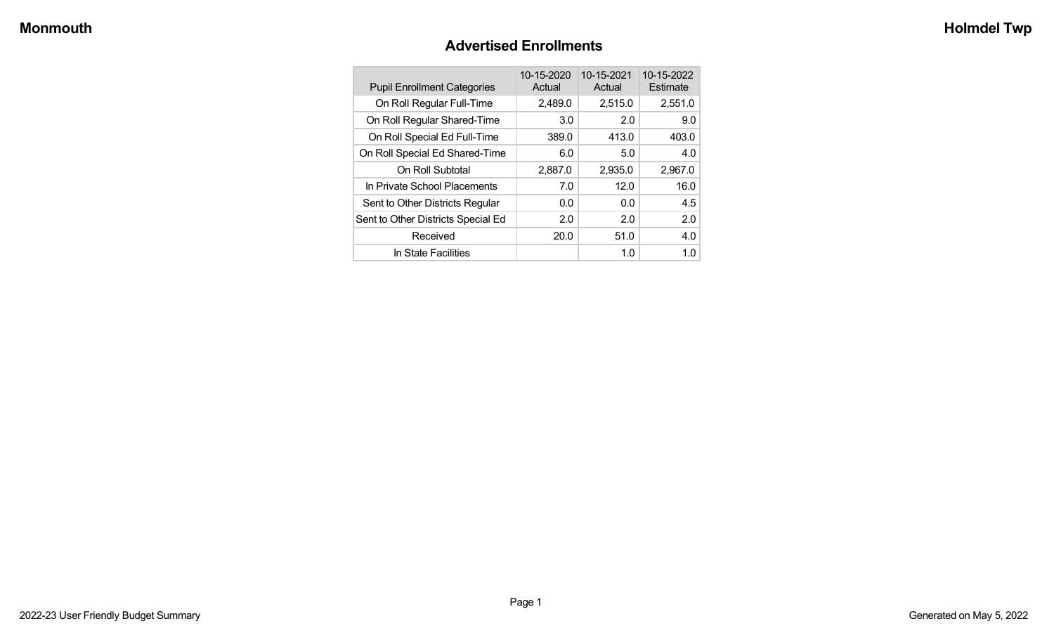#### **Advertised Enrollments**

| <b>Pupil Enrollment Categories</b> | 10-15-2020<br>Actual | 10-15-2021<br>Actual | 10-15-2022<br>Estimate |
|------------------------------------|----------------------|----------------------|------------------------|
| On Roll Regular Full-Time          | 2,489.0              | 2,515.0              | 2,551.0                |
| On Roll Regular Shared-Time        | 3.0                  | 2.0                  | 9.0                    |
| On Roll Special Ed Full-Time       | 389.0                | 413.0                | 403.0                  |
| On Roll Special Ed Shared-Time     | 6.0                  | 5.0                  | 4.0                    |
| On Roll Subtotal                   | 2,887.0              | 2,935.0              | 2,967.0                |
| In Private School Placements       | 7.0                  | 12.0                 | 16.0                   |
| Sent to Other Districts Regular    | 0.0                  | 0.0                  | 4.5                    |
| Sent to Other Districts Special Ed | 2.0                  | 2.0                  | 2.0                    |
| Received                           | 20.0                 | 51.0                 | 4.0                    |
| In State Facilities                |                      | 1.0                  | 1.0 <sub>1</sub>       |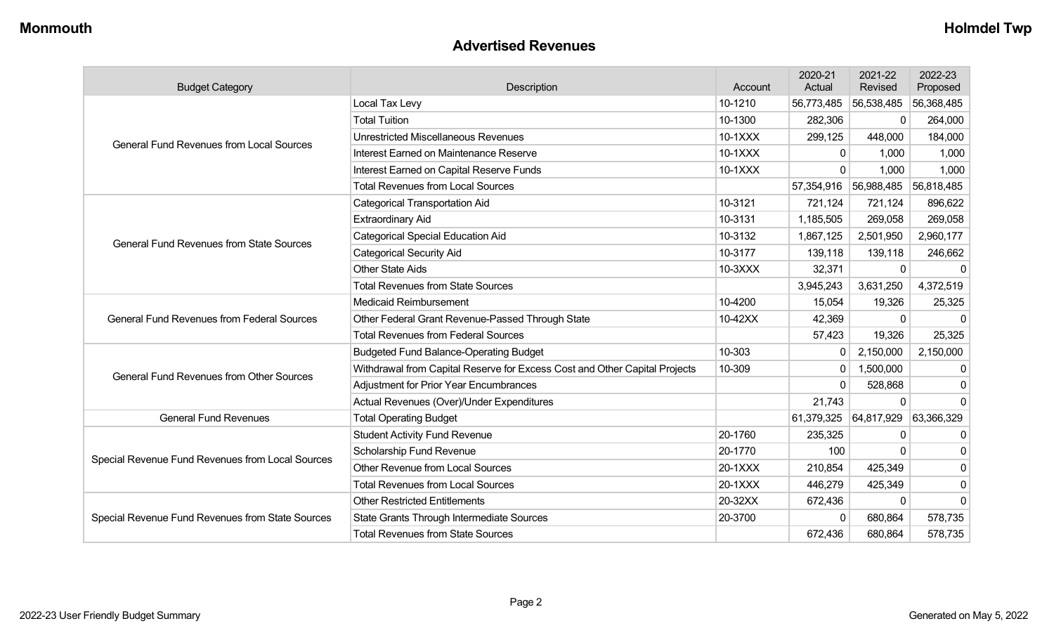#### **Advertised Revenues**

| <b>Budget Category</b>                            | Description                                                                | Account | 2020-21<br>Actual | 2021-22<br>Revised | 2022-23<br>Proposed |
|---------------------------------------------------|----------------------------------------------------------------------------|---------|-------------------|--------------------|---------------------|
|                                                   | Local Tax Levy                                                             | 10-1210 | 56,773,485        | 56,538,485         | 56,368,485          |
|                                                   | <b>Total Tuition</b>                                                       | 10-1300 | 282,306           | 0                  | 264,000             |
| <b>General Fund Revenues from Local Sources</b>   | <b>Unrestricted Miscellaneous Revenues</b>                                 | 10-1XXX | 299,125           | 448,000            | 184,000             |
|                                                   | Interest Earned on Maintenance Reserve                                     | 10-1XXX | $\Omega$          | 1,000              | 1,000               |
|                                                   | Interest Earned on Capital Reserve Funds                                   | 10-1XXX | $\Omega$          | 1,000              | 1,000               |
|                                                   | <b>Total Revenues from Local Sources</b>                                   |         | 57,354,916        | 56,988,485         | 56,818,485          |
|                                                   | Categorical Transportation Aid                                             | 10-3121 | 721,124           | 721,124            | 896,622             |
|                                                   | <b>Extraordinary Aid</b>                                                   | 10-3131 | 1,185,505         | 269,058            | 269,058             |
| <b>General Fund Revenues from State Sources</b>   | <b>Categorical Special Education Aid</b>                                   | 10-3132 | 1,867,125         | 2,501,950          | 2,960,177           |
|                                                   | <b>Categorical Security Aid</b>                                            | 10-3177 | 139,118           | 139,118            | 246,662             |
|                                                   | <b>Other State Aids</b>                                                    | 10-3XXX | 32,371            | 0                  | $\mathbf 0$         |
|                                                   | <b>Total Revenues from State Sources</b>                                   |         | 3,945,243         | 3,631,250          | 4,372,519           |
|                                                   | <b>Medicaid Reimbursement</b>                                              | 10-4200 | 15,054            | 19,326             | 25,325              |
| <b>General Fund Revenues from Federal Sources</b> | Other Federal Grant Revenue-Passed Through State                           | 10-42XX | 42,369            | 0                  | $\mathbf 0$         |
|                                                   | <b>Total Revenues from Federal Sources</b>                                 |         | 57,423            | 19,326             | 25,325              |
|                                                   | <b>Budgeted Fund Balance-Operating Budget</b>                              | 10-303  | 0                 | 2,150,000          | 2,150,000           |
| <b>General Fund Revenues from Other Sources</b>   | Withdrawal from Capital Reserve for Excess Cost and Other Capital Projects | 10-309  | $\mathbf{0}$      | 1,500,000          | 0                   |
|                                                   | <b>Adjustment for Prior Year Encumbrances</b>                              |         | $\Omega$          | 528,868            | $\Omega$            |
|                                                   | Actual Revenues (Over)/Under Expenditures                                  |         | 21,743            | $\Omega$           | $\Omega$            |
| <b>General Fund Revenues</b>                      | <b>Total Operating Budget</b>                                              |         | 61,379,325        | 64,817,929         | 63,366,329          |
|                                                   | <b>Student Activity Fund Revenue</b>                                       | 20-1760 | 235,325           | 0                  | $\Omega$            |
| Special Revenue Fund Revenues from Local Sources  | Scholarship Fund Revenue                                                   | 20-1770 | 100               | $\Omega$           | 0                   |
|                                                   | <b>Other Revenue from Local Sources</b>                                    | 20-1XXX | 210,854           | 425,349            | $\Omega$            |
|                                                   | <b>Total Revenues from Local Sources</b>                                   | 20-1XXX | 446,279           | 425,349            | 0                   |
|                                                   | <b>Other Restricted Entitlements</b>                                       | 20-32XX | 672,436           | $\Omega$           | $\Omega$            |
| Special Revenue Fund Revenues from State Sources  | State Grants Through Intermediate Sources                                  | 20-3700 | $\Omega$          | 680,864            | 578,735             |
|                                                   | <b>Total Revenues from State Sources</b>                                   |         | 672,436           | 680,864            | 578,735             |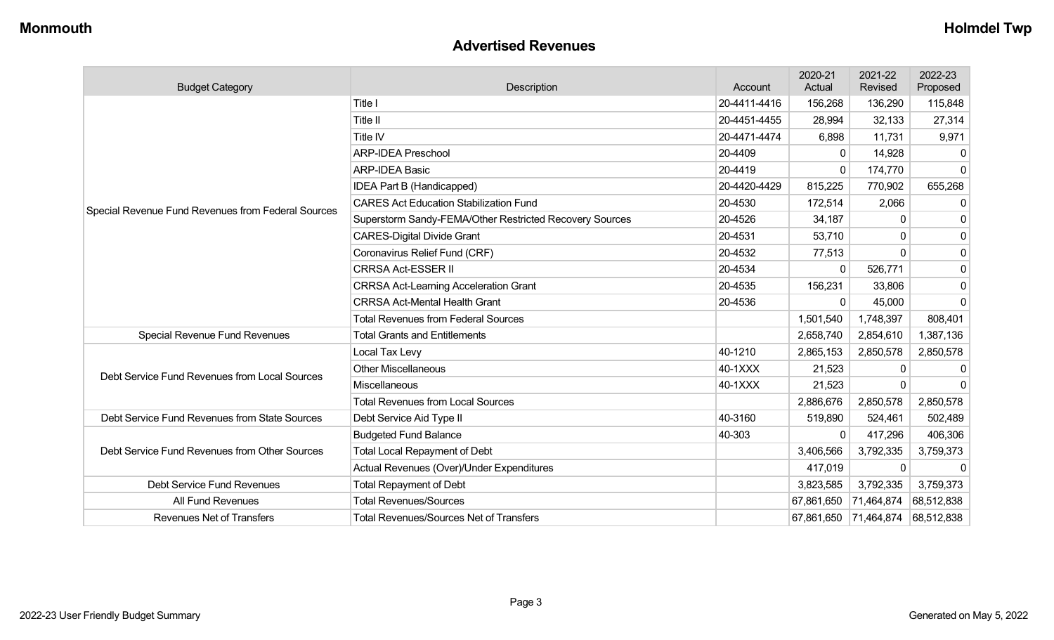#### **Advertised Revenues**

| <b>Budget Category</b>                             | Description                                             | Account      | 2020-21<br>Actual     | 2021-22<br>Revised | 2022-23<br>Proposed |
|----------------------------------------------------|---------------------------------------------------------|--------------|-----------------------|--------------------|---------------------|
|                                                    | Title I                                                 | 20-4411-4416 | 156,268               | 136,290            | 115,848             |
|                                                    | Title II                                                | 20-4451-4455 | 28,994                | 32,133             | 27,314              |
|                                                    | Title IV                                                | 20-4471-4474 | 6,898                 | 11,731             | 9,971               |
|                                                    | <b>ARP-IDEA Preschool</b>                               | 20-4409      | 0                     | 14,928             |                     |
|                                                    | <b>ARP-IDEA Basic</b>                                   | 20-4419      | $\Omega$              | 174,770            | $\Omega$            |
|                                                    | IDEA Part B (Handicapped)                               | 20-4420-4429 | 815,225               | 770,902            | 655,268             |
| Special Revenue Fund Revenues from Federal Sources | <b>CARES Act Education Stabilization Fund</b>           | 20-4530      | 172,514               | 2,066              | 0                   |
|                                                    | Superstorm Sandy-FEMA/Other Restricted Recovery Sources | 20-4526      | 34,187                | O                  |                     |
|                                                    | <b>CARES-Digital Divide Grant</b>                       | 20-4531      | 53,710                | $\Omega$           | $\mathbf{0}$        |
|                                                    | Coronavirus Relief Fund (CRF)                           | 20-4532      | 77,513                | $\Omega$           | $\mathbf{0}$        |
|                                                    | <b>CRRSA Act-ESSER II</b>                               | 20-4534      | 0                     | 526,771            | 0                   |
|                                                    | <b>CRRSA Act-Learning Acceleration Grant</b>            | 20-4535      | 156,231               | 33,806             | $\mathbf{0}$        |
|                                                    | <b>CRRSA Act-Mental Health Grant</b>                    | 20-4536      | $\Omega$              | 45,000             | $\Omega$            |
|                                                    | <b>Total Revenues from Federal Sources</b>              |              | 1,501,540             | 1,748,397          | 808,401             |
| Special Revenue Fund Revenues                      | <b>Total Grants and Entitlements</b>                    |              | 2,658,740             | 2,854,610          | 1,387,136           |
|                                                    | Local Tax Levy                                          | 40-1210      | 2,865,153             | 2,850,578          | 2,850,578           |
| Debt Service Fund Revenues from Local Sources      | <b>Other Miscellaneous</b>                              | 40-1XXX      | 21,523                | 0                  |                     |
|                                                    | Miscellaneous                                           | 40-1XXX      | 21,523                | $\Omega$           | $\Omega$            |
|                                                    | <b>Total Revenues from Local Sources</b>                |              | 2,886,676             | 2,850,578          | 2,850,578           |
| Debt Service Fund Revenues from State Sources      | Debt Service Aid Type II                                | 40-3160      | 519,890               | 524,461            | 502,489             |
|                                                    | <b>Budgeted Fund Balance</b>                            | 40-303       | 0                     | 417,296            | 406,306             |
| Debt Service Fund Revenues from Other Sources      | <b>Total Local Repayment of Debt</b>                    |              | 3,406,566             | 3,792,335          | 3,759,373           |
|                                                    | Actual Revenues (Over)/Under Expenditures               |              | 417,019               | 0                  | $\Omega$            |
| Debt Service Fund Revenues                         | <b>Total Repayment of Debt</b>                          |              | 3,823,585             | 3,792,335          | 3,759,373           |
| All Fund Revenues                                  | <b>Total Revenues/Sources</b>                           |              | 67,861,650 71,464,874 |                    | 68,512,838          |
| <b>Revenues Net of Transfers</b>                   | <b>Total Revenues/Sources Net of Transfers</b>          |              | 67,861,650 71,464,874 |                    | 68,512,838          |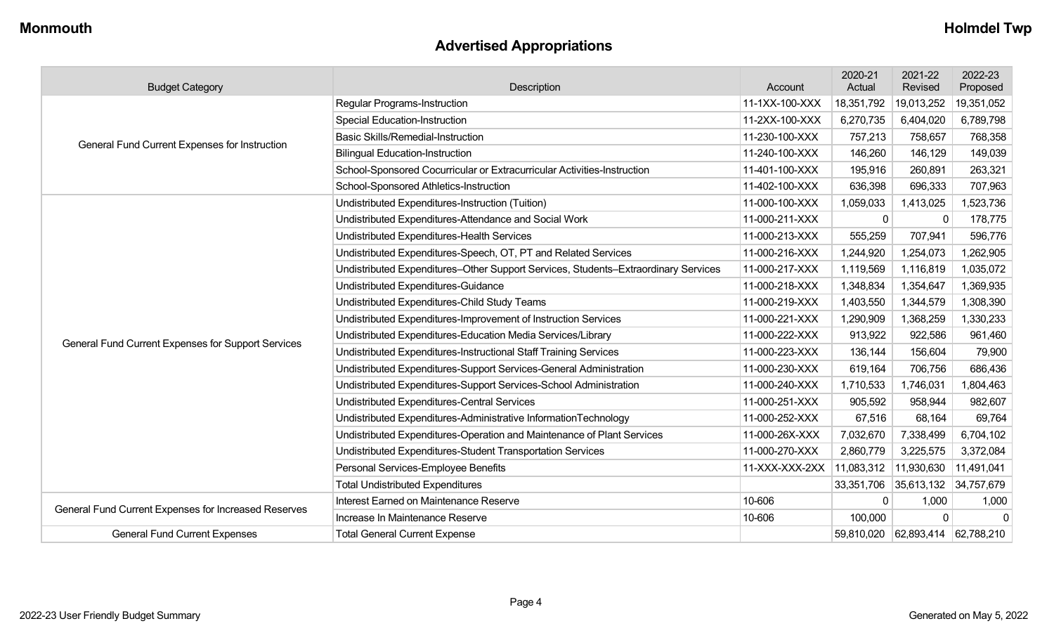## **Advertised Appropriations**

| <b>Budget Category</b>                               | Description                                                                        | Account        | 2020-21<br>Actual | 2021-22<br>Revised               | 2022-23<br>Proposed |
|------------------------------------------------------|------------------------------------------------------------------------------------|----------------|-------------------|----------------------------------|---------------------|
|                                                      | Regular Programs-Instruction                                                       | 11-1XX-100-XXX | 18,351,792        | 19,013,252                       | 19,351,052          |
|                                                      | <b>Special Education-Instruction</b>                                               | 11-2XX-100-XXX | 6,270,735         | 6,404,020                        | 6,789,798           |
| General Fund Current Expenses for Instruction        | <b>Basic Skills/Remedial-Instruction</b>                                           | 11-230-100-XXX | 757,213           | 758,657                          | 768,358             |
|                                                      | <b>Bilingual Education-Instruction</b>                                             | 11-240-100-XXX | 146,260           | 146,129                          | 149,039             |
|                                                      | School-Sponsored Cocurricular or Extracurricular Activities-Instruction            | 11-401-100-XXX | 195,916           | 260,891                          | 263,321             |
|                                                      | School-Sponsored Athletics-Instruction                                             | 11-402-100-XXX | 636,398           | 696,333                          | 707,963             |
|                                                      | Undistributed Expenditures-Instruction (Tuition)                                   | 11-000-100-XXX | 1,059,033         | 1,413,025                        | 1,523,736           |
|                                                      | Undistributed Expenditures-Attendance and Social Work                              | 11-000-211-XXX | 0                 | 0                                | 178,775             |
|                                                      | Undistributed Expenditures-Health Services                                         | 11-000-213-XXX | 555,259           | 707,941                          | 596,776             |
|                                                      | Undistributed Expenditures-Speech, OT, PT and Related Services                     | 11-000-216-XXX | 1,244,920         | 1,254,073                        | 1,262,905           |
|                                                      | Undistributed Expenditures-Other Support Services, Students-Extraordinary Services | 11-000-217-XXX | 1,119,569         | 1,116,819                        | 1,035,072           |
|                                                      | Undistributed Expenditures-Guidance                                                | 11-000-218-XXX | 1,348,834         | 1,354,647                        | 1,369,935           |
|                                                      | Undistributed Expenditures-Child Study Teams                                       | 11-000-219-XXX | 1,403,550         | 1,344,579                        | 1,308,390           |
|                                                      | Undistributed Expenditures-Improvement of Instruction Services                     | 11-000-221-XXX | 1,290,909         | 1,368,259                        | 1,330,233           |
| General Fund Current Expenses for Support Services   | Undistributed Expenditures-Education Media Services/Library                        | 11-000-222-XXX | 913,922           | 922,586                          | 961,460             |
|                                                      | Undistributed Expenditures-Instructional Staff Training Services                   | 11-000-223-XXX | 136,144           | 156,604                          | 79,900              |
|                                                      | Undistributed Expenditures-Support Services-General Administration                 | 11-000-230-XXX | 619,164           | 706,756                          | 686,436             |
|                                                      | Undistributed Expenditures-Support Services-School Administration                  | 11-000-240-XXX | 1,710,533         | 1,746,031                        | 1,804,463           |
|                                                      | <b>Undistributed Expenditures-Central Services</b>                                 | 11-000-251-XXX | 905,592           | 958,944                          | 982,607             |
|                                                      | Undistributed Expenditures-Administrative InformationTechnology                    | 11-000-252-XXX | 67,516            | 68,164                           | 69,764              |
|                                                      | Undistributed Expenditures-Operation and Maintenance of Plant Services             | 11-000-26X-XXX | 7,032,670         | 7,338,499                        | 6,704,102           |
|                                                      | Undistributed Expenditures-Student Transportation Services                         | 11-000-270-XXX | 2,860,779         | 3,225,575                        | 3,372,084           |
|                                                      | Personal Services-Employee Benefits                                                | 11-XXX-XXX-2XX | 11,083,312        | 11,930,630                       | 11,491,041          |
|                                                      | <b>Total Undistributed Expenditures</b>                                            |                |                   | 33,351,706 35,613,132 34,757,679 |                     |
| General Fund Current Expenses for Increased Reserves | Interest Earned on Maintenance Reserve                                             | 10-606         | 0                 | 1,000                            | 1,000               |
|                                                      | Increase In Maintenance Reserve                                                    | 10-606         | 100,000           | $\Omega$                         | $\Omega$            |
| <b>General Fund Current Expenses</b>                 | <b>Total General Current Expense</b>                                               |                | 59,810,020        | 62,893,414 62,788,210            |                     |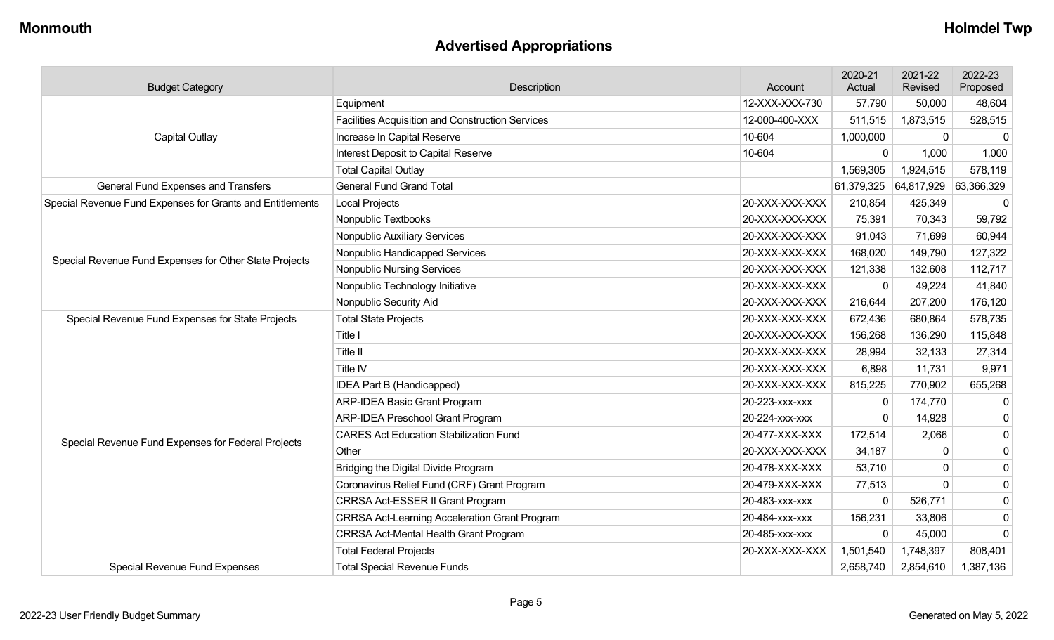## **Advertised Appropriations**

| <b>Budget Category</b>                                    | Description                                             | Account        | 2020-21<br>Actual | 2021-22<br>Revised | 2022-23<br>Proposed |
|-----------------------------------------------------------|---------------------------------------------------------|----------------|-------------------|--------------------|---------------------|
|                                                           | Equipment                                               | 12-XXX-XXX-730 | 57,790            | 50,000             | 48,604              |
|                                                           | <b>Facilities Acquisition and Construction Services</b> | 12-000-400-XXX | 511,515           | 1,873,515          | 528,515             |
| <b>Capital Outlay</b>                                     | Increase In Capital Reserve                             | 10-604         | 1,000,000         | $\mathbf{0}$       | $\mathbf 0$         |
|                                                           | Interest Deposit to Capital Reserve                     | 10-604         | $\mathbf 0$       | 1,000              | 1,000               |
|                                                           | <b>Total Capital Outlay</b>                             |                | 1,569,305         | 1,924,515          | 578,119             |
| <b>General Fund Expenses and Transfers</b>                | <b>General Fund Grand Total</b>                         |                | 61,379,325        | 64,817,929         | 63,366,329          |
| Special Revenue Fund Expenses for Grants and Entitlements | <b>Local Projects</b>                                   | 20-XXX-XXX-XXX | 210,854           | 425,349            | 0                   |
|                                                           | Nonpublic Textbooks                                     | 20-XXX-XXX-XXX | 75,391            | 70,343             | 59,792              |
|                                                           | Nonpublic Auxiliary Services                            | 20-XXX-XXX-XXX | 91,043            | 71,699             | 60,944              |
| Special Revenue Fund Expenses for Other State Projects    | Nonpublic Handicapped Services                          | 20-XXX-XXX-XXX | 168,020           | 149,790            | 127,322             |
|                                                           | <b>Nonpublic Nursing Services</b>                       | 20-XXX-XXX-XXX | 121,338           | 132,608            | 112,717             |
|                                                           | Nonpublic Technology Initiative                         | 20-XXX-XXX-XXX | $\Omega$          | 49,224             | 41,840              |
|                                                           | Nonpublic Security Aid                                  | 20-XXX-XXX-XXX | 216,644           | 207,200            | 176,120             |
| Special Revenue Fund Expenses for State Projects          | <b>Total State Projects</b><br>20-XXX-XXX-XXX           |                | 672,436           | 680,864            | 578,735             |
|                                                           | Title I                                                 | 20-XXX-XXX-XXX | 156,268           | 136,290            | 115,848             |
|                                                           | Title II                                                | 20-XXX-XXX-XXX | 28,994            | 32,133             | 27,314              |
|                                                           | Title IV                                                | 20-XXX-XXX-XXX | 6,898             | 11,731             | 9,971               |
|                                                           | IDEA Part B (Handicapped)                               | 20-XXX-XXX-XXX | 815,225           | 770,902            | 655,268             |
|                                                           | <b>ARP-IDEA Basic Grant Program</b>                     | 20-223-XXX-XXX | $\mathbf{0}$      | 174,770            | $\mathbf 0$         |
|                                                           | <b>ARP-IDEA Preschool Grant Program</b>                 | 20-224-XXX-XXX | $\Omega$          | 14,928             | $\mathbf{0}$        |
| Special Revenue Fund Expenses for Federal Projects        | <b>CARES Act Education Stabilization Fund</b>           | 20-477-XXX-XXX | 172,514           | 2,066              | $\mathbf 0$         |
|                                                           | Other                                                   | 20-XXX-XXX-XXX | 34,187            | $\Omega$           | $\mathbf 0$         |
|                                                           | Bridging the Digital Divide Program                     | 20-478-XXX-XXX | 53,710            | 0                  | $\mathbf 0$         |
|                                                           | Coronavirus Relief Fund (CRF) Grant Program             | 20-479-XXX-XXX | 77,513            | $\Omega$           | 0                   |
|                                                           | CRRSA Act-ESSER II Grant Program                        | 20-483-xxx-xxx | ∩                 | 526,771            | $\mathbf 0$         |
|                                                           | <b>CRRSA Act-Learning Acceleration Grant Program</b>    | 20-484-XXX-XXX | 156,231           | 33,806             | $\mathbf 0$         |
|                                                           | <b>CRRSA Act-Mental Health Grant Program</b>            | 20-485-XXX-XXX | $\Omega$          | 45,000             | $\Omega$            |
|                                                           | <b>Total Federal Projects</b>                           | 20-XXX-XXX-XXX | 1,501,540         | 1,748,397          | 808,401             |
| <b>Special Revenue Fund Expenses</b>                      | <b>Total Special Revenue Funds</b>                      |                | 2,658,740         | 2,854,610          | 1,387,136           |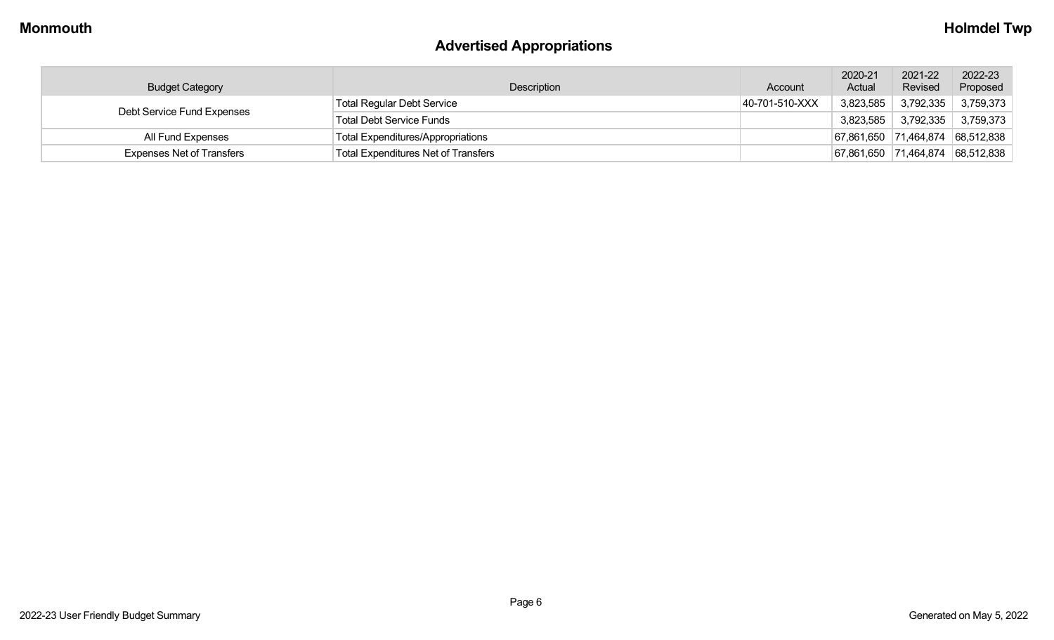# **Advertised Appropriations**

| <b>Budget Category</b>           | Description                                | Account        | 2020-21<br>Actual | 2021-22<br>Revised | 2022-23<br>Proposed              |
|----------------------------------|--------------------------------------------|----------------|-------------------|--------------------|----------------------------------|
| Debt Service Fund Expenses       | Total Regular Debt Service                 | 40-701-510-XXX | 3,823,585         | 3,792,335          | 3,759,373                        |
|                                  | Total Debt Service Funds                   |                | 3,823,585         | 3,792,335          | 3,759,373                        |
| All Fund Expenses                | Total Expenditures/Appropriations          |                |                   |                    | 67,861,650 71,464,874 68,512,838 |
| <b>Expenses Net of Transfers</b> | <b>Total Expenditures Net of Transfers</b> |                | 67,861,650        |                    | 71,464,874 68,512,838            |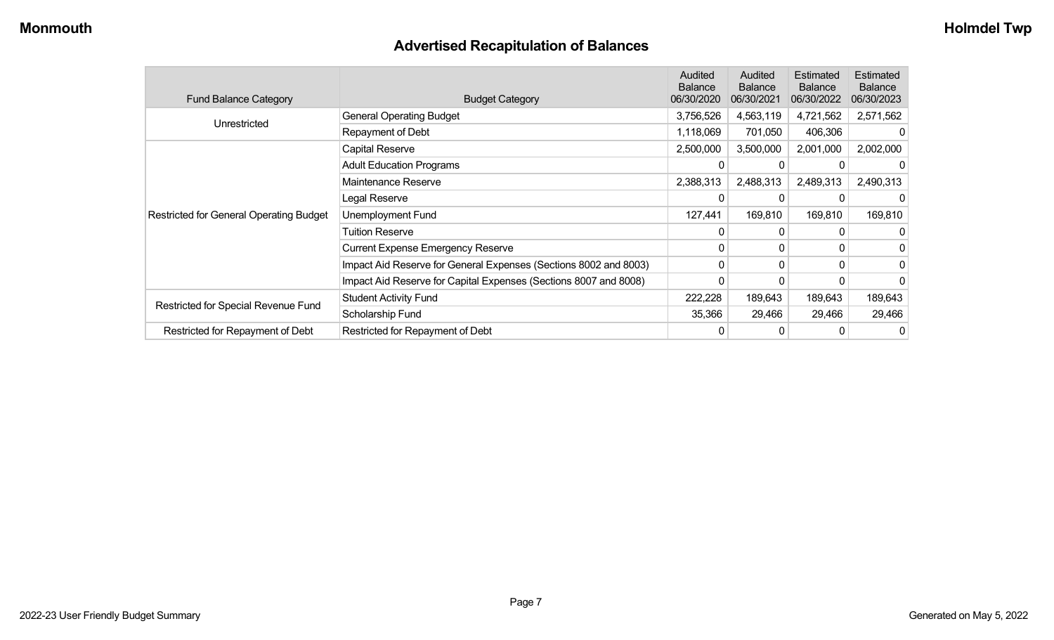## **Advertised Recapitulation of Balances**

| <b>Fund Balance Category</b>                   | <b>Budget Category</b>                                           | <b>Audited</b><br><b>Balance</b><br>06/30/2020 | Audited<br><b>Balance</b><br>06/30/2021 | Estimated<br><b>Balance</b><br>06/30/2022 | Estimated<br><b>Balance</b><br>06/30/2023 |
|------------------------------------------------|------------------------------------------------------------------|------------------------------------------------|-----------------------------------------|-------------------------------------------|-------------------------------------------|
| Unrestricted                                   | <b>General Operating Budget</b>                                  | 3,756,526                                      | 4,563,119                               | 4,721,562                                 | 2,571,562                                 |
|                                                | Repayment of Debt                                                | 1,118,069                                      | 701,050                                 | 406,306                                   |                                           |
|                                                | Capital Reserve                                                  | 2,500,000                                      | 3,500,000                               | 2,001,000                                 | 2,002,000                                 |
|                                                | <b>Adult Education Programs</b>                                  |                                                |                                         |                                           |                                           |
|                                                | Maintenance Reserve                                              | 2,388,313                                      | 2,488,313                               | 2,489,313                                 | 2,490,313                                 |
|                                                | Legal Reserve                                                    | 0                                              | 0                                       | 0                                         |                                           |
| <b>Restricted for General Operating Budget</b> | Unemployment Fund                                                | 127,441                                        | 169,810                                 | 169,810                                   | 169,810                                   |
|                                                | Tuition Reserve                                                  | 0                                              | 0                                       |                                           |                                           |
|                                                | <b>Current Expense Emergency Reserve</b>                         | 0                                              | $\mathbf{0}$                            |                                           |                                           |
|                                                | Impact Aid Reserve for General Expenses (Sections 8002 and 8003) | 0                                              | 0                                       | $\Omega$                                  | 0                                         |
|                                                | Impact Aid Reserve for Capital Expenses (Sections 8007 and 8008) | 0                                              | 0                                       |                                           |                                           |
|                                                | <b>Student Activity Fund</b>                                     | 222,228                                        | 189,643                                 | 189,643                                   | 189,643                                   |
| Restricted for Special Revenue Fund            | Scholarship Fund                                                 | 35,366                                         | 29,466                                  | 29,466                                    | 29,466                                    |
| Restricted for Repayment of Debt               | Restricted for Repayment of Debt                                 | 0                                              | 0                                       |                                           | 0                                         |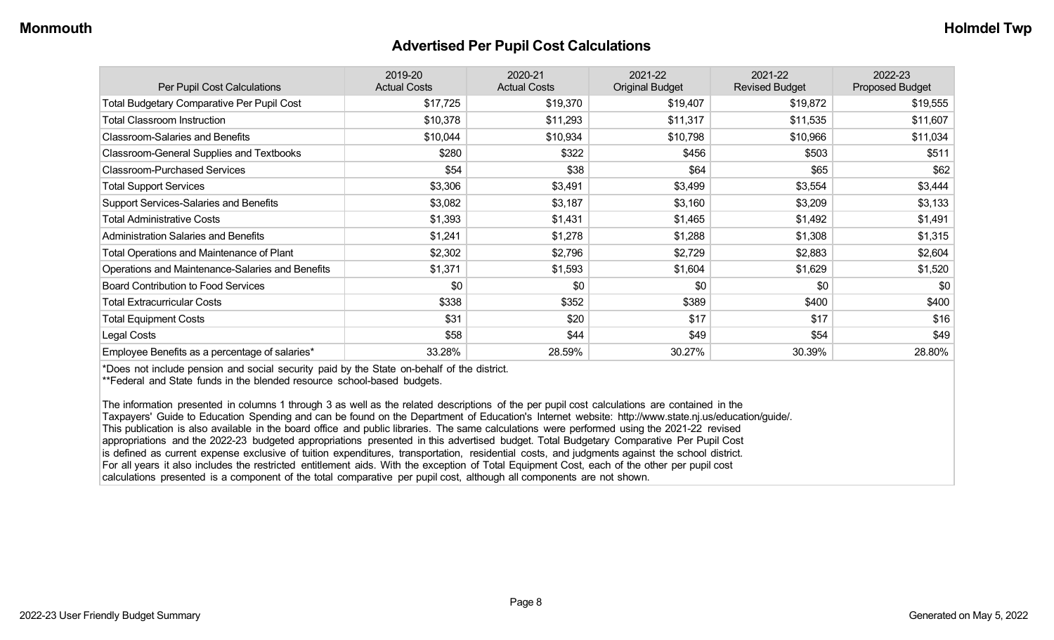#### **Advertised Per Pupil Cost Calculations**

| Per Pupil Cost Calculations                       | 2019-20<br><b>Actual Costs</b> | 2020-21<br><b>Actual Costs</b> | 2021-22<br><b>Original Budget</b> | 2021-22<br><b>Revised Budget</b> | 2022-23<br><b>Proposed Budget</b> |
|---------------------------------------------------|--------------------------------|--------------------------------|-----------------------------------|----------------------------------|-----------------------------------|
| <b>Total Budgetary Comparative Per Pupil Cost</b> | \$17,725                       | \$19,370                       | \$19,407                          | \$19,872                         | \$19,555                          |
| <b>Total Classroom Instruction</b>                | \$10,378                       | \$11,293                       | \$11,317                          | \$11,535                         | \$11,607                          |
| <b>Classroom-Salaries and Benefits</b>            | \$10,044                       | \$10,934                       | \$10,798                          | \$10,966                         | \$11,034                          |
| Classroom-General Supplies and Textbooks          | \$280                          | \$322                          | \$456                             | \$503                            | \$511                             |
| <b>Classroom-Purchased Services</b>               | \$54                           | \$38                           | \$64                              | \$65                             | \$62                              |
| <b>Total Support Services</b>                     | \$3,306                        | \$3,491                        | \$3,499                           | \$3,554                          | \$3,444                           |
| Support Services-Salaries and Benefits            | \$3,082                        | \$3,187                        | \$3,160                           | \$3,209                          | \$3,133                           |
| <b>Total Administrative Costs</b>                 | \$1,393                        | \$1,431                        | \$1,465                           | \$1,492                          | \$1,491                           |
| <b>Administration Salaries and Benefits</b>       | \$1,241                        | \$1,278                        | \$1,288                           | \$1,308                          | \$1,315                           |
| Total Operations and Maintenance of Plant         | \$2,302                        | \$2,796                        | \$2,729                           | \$2,883                          | \$2,604                           |
| Operations and Maintenance-Salaries and Benefits  | \$1,371                        | \$1,593                        | \$1,604                           | \$1,629                          | \$1,520                           |
| <b>Board Contribution to Food Services</b>        | \$0                            | \$0                            | \$0                               | \$0                              | \$0                               |
| <b>Total Extracurricular Costs</b>                | \$338                          | \$352                          | \$389                             | \$400                            | \$400                             |
| <b>Total Equipment Costs</b>                      | \$31                           | \$20                           | \$17                              | \$17                             | \$16                              |
| Legal Costs                                       | \$58                           | \$44                           | \$49                              | \$54                             | \$49                              |
| Employee Benefits as a percentage of salaries*    | 33.28%                         | 28.59%                         | 30.27%                            | 30.39%                           | 28.80%                            |

\*Does not include pension and social security paid by the State on-behalf of the district.

\*\*Federal and State funds in the blended resource school-based budgets.

The information presented in columns 1 through 3 as well as the related descriptions of the per pupil cost calculations are contained in the Taxpayers' Guide to Education Spending and can be found on the Department of Education's Internet website: http://www.state.nj.us/education/guide/. This publication is also available in the board office and public libraries. The same calculations were performed using the 2021-22 revised appropriations and the 2022-23 budgeted appropriations presented in this advertised budget. Total Budgetary Comparative Per Pupil Cost is defined as current expense exclusive of tuition expenditures, transportation, residential costs, and judgments against the school district. For all years it also includes the restricted entitlement aids. With the exception of Total Equipment Cost, each of the other per pupil cost calculations presented is a component of the total comparative per pupil cost, although all components are not shown.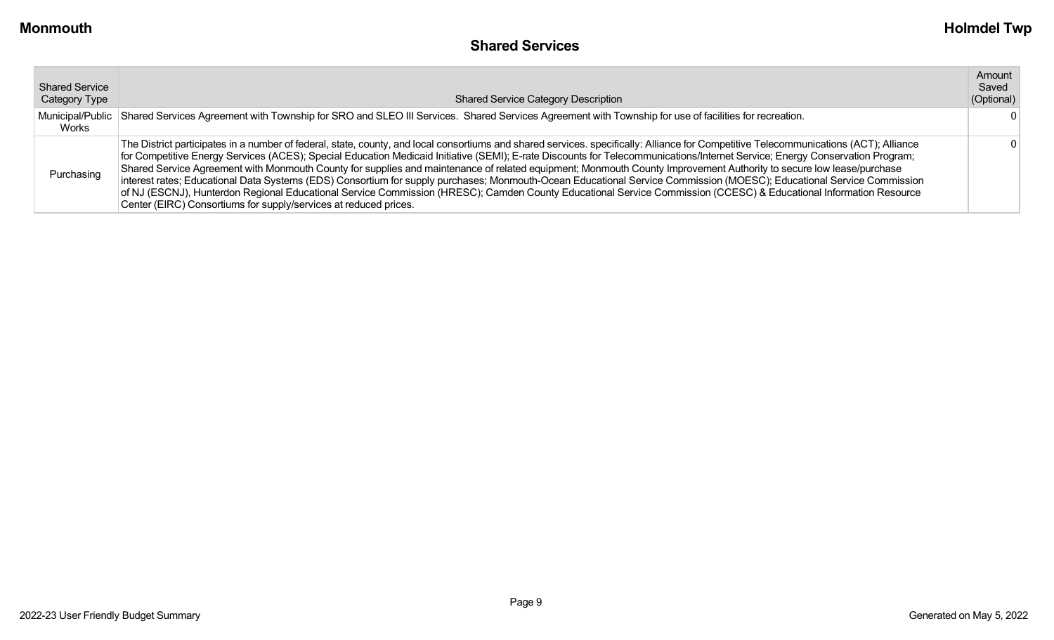| <b>Shared Service</b><br>Category Type | <b>Shared Service Category Description</b>                                                                                                                                                                                                                                                                                                                                                                                                                                                                                                                                                                                                                                                                                                                                                                                                                                                                                                                     | Amount<br>Saved<br>(Optional) |
|----------------------------------------|----------------------------------------------------------------------------------------------------------------------------------------------------------------------------------------------------------------------------------------------------------------------------------------------------------------------------------------------------------------------------------------------------------------------------------------------------------------------------------------------------------------------------------------------------------------------------------------------------------------------------------------------------------------------------------------------------------------------------------------------------------------------------------------------------------------------------------------------------------------------------------------------------------------------------------------------------------------|-------------------------------|
| Municipal/Public<br>Works              | Shared Services Agreement with Township for SRO and SLEO III Services. Shared Services Agreement with Township for use of facilities for recreation.                                                                                                                                                                                                                                                                                                                                                                                                                                                                                                                                                                                                                                                                                                                                                                                                           |                               |
| Purchasing                             | The District participates in a number of federal, state, county, and local consortiums and shared services. specifically: Alliance for Competitive Telecommunications (ACT); Alliance<br>for Competitive Energy Services (ACES); Special Education Medicaid Initiative (SEMI); E-rate Discounts for Telecommunications/Internet Service; Energy Conservation Program;<br>Shared Service Agreement with Monmouth County for supplies and maintenance of related equipment; Monmouth County Improvement Authority to secure low lease/purchase<br>interest rates; Educational Data Systems (EDS) Consortium for supply purchases; Monmouth-Ocean Educational Service Commission (MOESC); Educational Service Commission<br>of NJ (ESCNJ), Hunterdon Regional Educational Service Commission (HRESC); Camden County Educational Service Commission (CCESC) & Educational Information Resource<br>Center (EIRC) Consortiums for supply/services at reduced prices. |                               |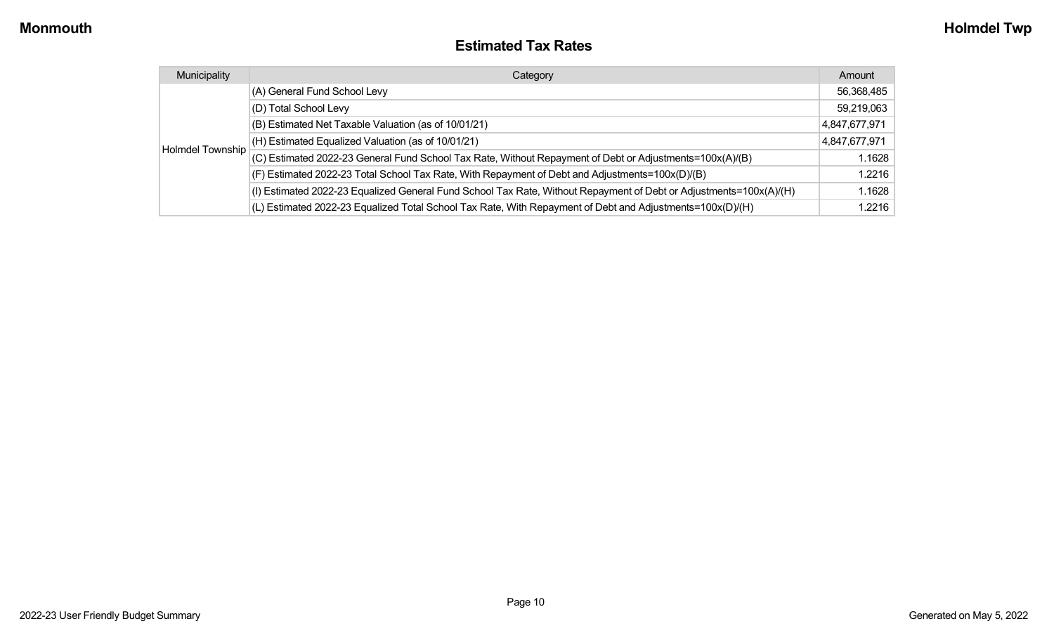#### **Estimated Tax Rates**

| Municipality     | Category                                                                                                           | Amount        |
|------------------|--------------------------------------------------------------------------------------------------------------------|---------------|
|                  | (A) General Fund School Levy                                                                                       | 56,368,485    |
|                  | (D) Total School Levy                                                                                              | 59,219,063    |
|                  | (B) Estimated Net Taxable Valuation (as of 10/01/21)                                                               | 4,847,677,971 |
|                  | (H) Estimated Equalized Valuation (as of 10/01/21)                                                                 | 4,847,677,971 |
| Holmdel Township | (C) Estimated 2022-23 General Fund School Tax Rate, Without Repayment of Debt or Adjustments=100x(A)/(B)           | 1.1628        |
|                  | (F) Estimated 2022-23 Total School Tax Rate, With Repayment of Debt and Adjustments=100x(D)/(B)                    | 1.2216        |
|                  | (I) Estimated 2022-23 Equalized General Fund School Tax Rate, Without Repayment of Debt or Adjustments=100x(A)/(H) | 1.1628        |
|                  | (L) Estimated 2022-23 Equalized Total School Tax Rate, With Repayment of Debt and Adjustments=100x(D)/(H)          | 1.2216        |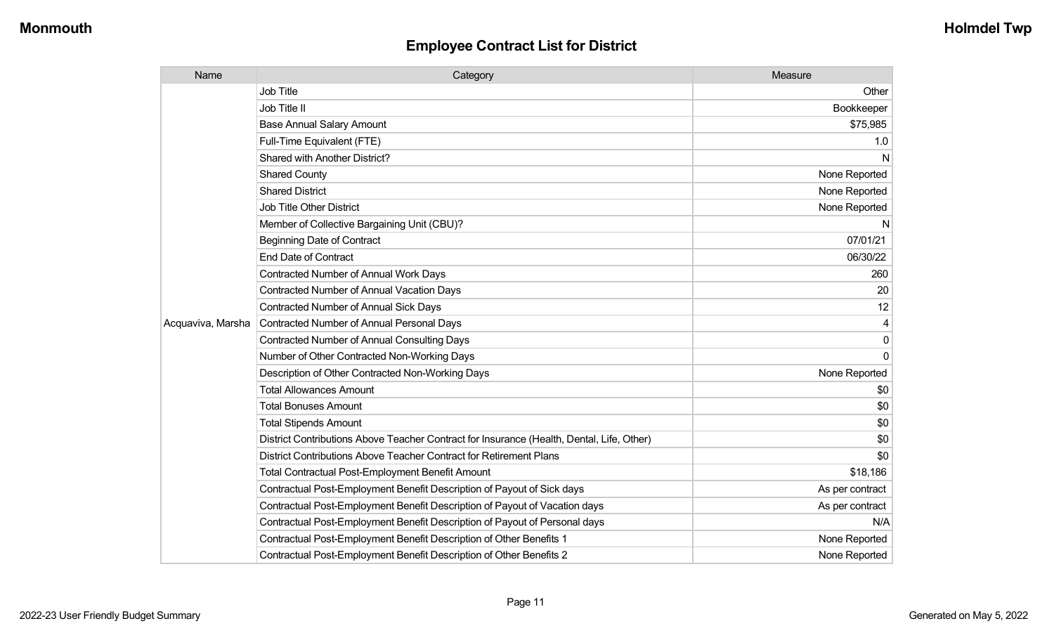| Name              | Category                                                                                  | Measure         |
|-------------------|-------------------------------------------------------------------------------------------|-----------------|
|                   | Job Title                                                                                 | Other           |
|                   | Job Title II                                                                              | Bookkeeper      |
|                   | <b>Base Annual Salary Amount</b>                                                          | \$75,985        |
|                   | Full-Time Equivalent (FTE)                                                                | 1.0             |
|                   | Shared with Another District?                                                             | N               |
|                   | <b>Shared County</b>                                                                      | None Reported   |
|                   | <b>Shared District</b>                                                                    | None Reported   |
|                   | Job Title Other District                                                                  | None Reported   |
|                   | Member of Collective Bargaining Unit (CBU)?                                               | N               |
|                   | <b>Beginning Date of Contract</b>                                                         | 07/01/21        |
|                   | <b>End Date of Contract</b>                                                               | 06/30/22        |
|                   | Contracted Number of Annual Work Days                                                     | 260             |
|                   | Contracted Number of Annual Vacation Days                                                 | 20              |
|                   | <b>Contracted Number of Annual Sick Days</b>                                              | 12              |
| Acquaviva, Marsha | <b>Contracted Number of Annual Personal Days</b>                                          | 4               |
|                   | <b>Contracted Number of Annual Consulting Days</b>                                        | $\mathbf 0$     |
|                   | Number of Other Contracted Non-Working Days                                               | $\mathbf{0}$    |
|                   | Description of Other Contracted Non-Working Days                                          | None Reported   |
|                   | <b>Total Allowances Amount</b>                                                            | \$0             |
|                   | <b>Total Bonuses Amount</b>                                                               | \$0             |
|                   | <b>Total Stipends Amount</b>                                                              | \$0             |
|                   | District Contributions Above Teacher Contract for Insurance (Health, Dental, Life, Other) | \$0             |
|                   | District Contributions Above Teacher Contract for Retirement Plans                        | \$0             |
|                   | <b>Total Contractual Post-Employment Benefit Amount</b>                                   | \$18,186        |
|                   | Contractual Post-Employment Benefit Description of Payout of Sick days                    | As per contract |
|                   | Contractual Post-Employment Benefit Description of Payout of Vacation days                | As per contract |
|                   | Contractual Post-Employment Benefit Description of Payout of Personal days                | N/A             |
|                   | Contractual Post-Employment Benefit Description of Other Benefits 1                       | None Reported   |
|                   | Contractual Post-Employment Benefit Description of Other Benefits 2                       | None Reported   |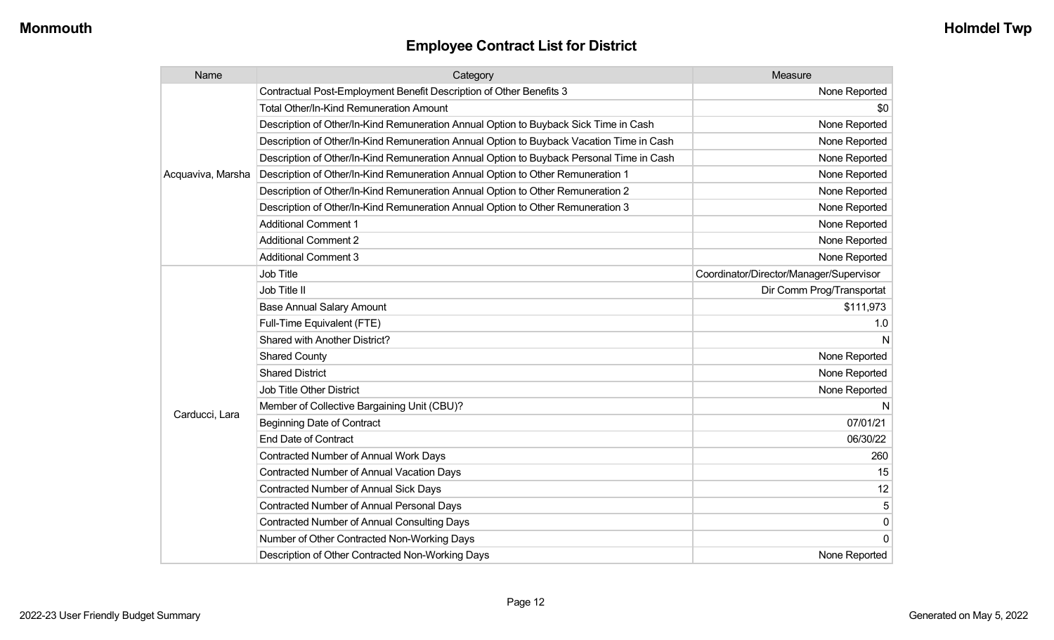| Name              | Category                                                                                 | Measure                                 |
|-------------------|------------------------------------------------------------------------------------------|-----------------------------------------|
|                   | Contractual Post-Employment Benefit Description of Other Benefits 3                      | None Reported                           |
|                   | Total Other/In-Kind Remuneration Amount                                                  | \$0                                     |
|                   | Description of Other/In-Kind Remuneration Annual Option to Buyback Sick Time in Cash     | None Reported                           |
|                   | Description of Other/In-Kind Remuneration Annual Option to Buyback Vacation Time in Cash | None Reported                           |
|                   | Description of Other/In-Kind Remuneration Annual Option to Buyback Personal Time in Cash | None Reported                           |
| Acquaviva, Marsha | Description of Other/In-Kind Remuneration Annual Option to Other Remuneration 1          | None Reported                           |
|                   | Description of Other/In-Kind Remuneration Annual Option to Other Remuneration 2          | None Reported                           |
|                   | Description of Other/In-Kind Remuneration Annual Option to Other Remuneration 3          | None Reported                           |
|                   | <b>Additional Comment 1</b>                                                              | None Reported                           |
|                   | <b>Additional Comment 2</b>                                                              | None Reported                           |
|                   | <b>Additional Comment 3</b>                                                              | None Reported                           |
|                   | <b>Job Title</b>                                                                         | Coordinator/Director/Manager/Supervisor |
|                   | Job Title II                                                                             | Dir Comm Prog/Transportat               |
|                   | <b>Base Annual Salary Amount</b>                                                         | \$111,973                               |
|                   | Full-Time Equivalent (FTE)                                                               | 1.0                                     |
|                   | Shared with Another District?                                                            | N                                       |
|                   | <b>Shared County</b>                                                                     | None Reported                           |
|                   | <b>Shared District</b>                                                                   | None Reported                           |
|                   | <b>Job Title Other District</b>                                                          | None Reported                           |
|                   | Member of Collective Bargaining Unit (CBU)?                                              | N                                       |
| Carducci, Lara    | <b>Beginning Date of Contract</b>                                                        | 07/01/21                                |
|                   | <b>End Date of Contract</b>                                                              | 06/30/22                                |
|                   | Contracted Number of Annual Work Days                                                    | 260                                     |
|                   | <b>Contracted Number of Annual Vacation Days</b>                                         | 15                                      |
|                   | Contracted Number of Annual Sick Days                                                    | 12                                      |
|                   | Contracted Number of Annual Personal Days                                                | 5                                       |
|                   | Contracted Number of Annual Consulting Days                                              | 0                                       |
|                   | Number of Other Contracted Non-Working Days                                              | $\mathbf 0$                             |
|                   | Description of Other Contracted Non-Working Days                                         | None Reported                           |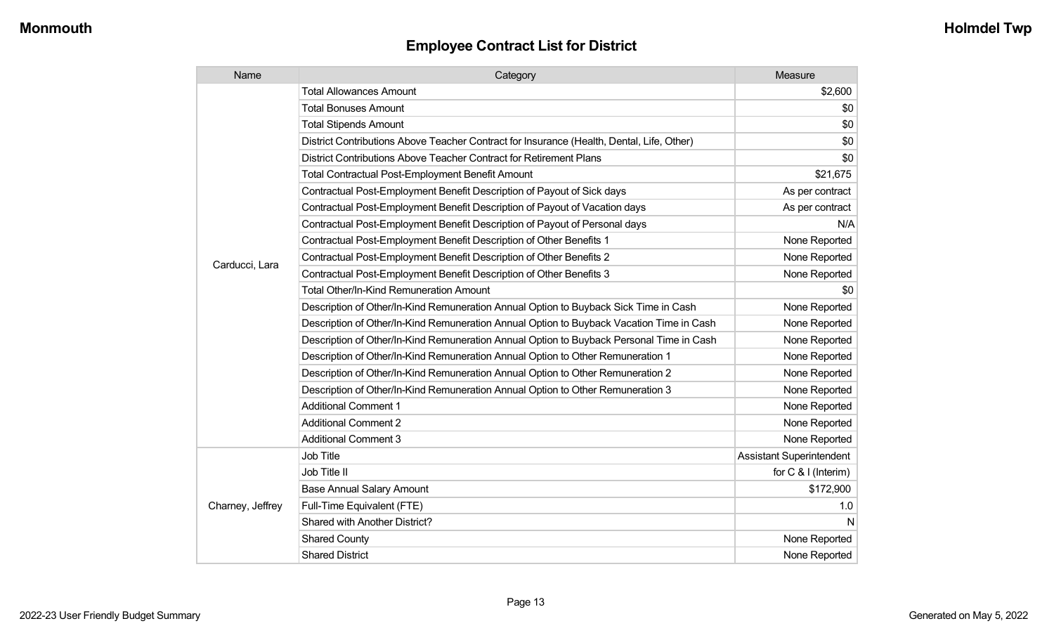| Name             | Category                                                                                  | Measure                         |
|------------------|-------------------------------------------------------------------------------------------|---------------------------------|
|                  | <b>Total Allowances Amount</b>                                                            | \$2,600                         |
|                  | <b>Total Bonuses Amount</b>                                                               | \$0                             |
|                  | <b>Total Stipends Amount</b>                                                              | \$0                             |
|                  | District Contributions Above Teacher Contract for Insurance (Health, Dental, Life, Other) | \$0                             |
|                  | District Contributions Above Teacher Contract for Retirement Plans                        | \$0                             |
|                  | <b>Total Contractual Post-Employment Benefit Amount</b>                                   | \$21,675                        |
|                  | Contractual Post-Employment Benefit Description of Payout of Sick days                    | As per contract                 |
|                  | Contractual Post-Employment Benefit Description of Payout of Vacation days                | As per contract                 |
|                  | Contractual Post-Employment Benefit Description of Payout of Personal days                | N/A                             |
|                  | Contractual Post-Employment Benefit Description of Other Benefits 1                       | None Reported                   |
| Carducci, Lara   | Contractual Post-Employment Benefit Description of Other Benefits 2                       | None Reported                   |
|                  | Contractual Post-Employment Benefit Description of Other Benefits 3                       | None Reported                   |
|                  | Total Other/In-Kind Remuneration Amount                                                   | \$0                             |
|                  | Description of Other/In-Kind Remuneration Annual Option to Buyback Sick Time in Cash      | None Reported                   |
|                  | Description of Other/In-Kind Remuneration Annual Option to Buyback Vacation Time in Cash  | None Reported                   |
|                  | Description of Other/In-Kind Remuneration Annual Option to Buyback Personal Time in Cash  | None Reported                   |
|                  | Description of Other/In-Kind Remuneration Annual Option to Other Remuneration 1           | None Reported                   |
|                  | Description of Other/In-Kind Remuneration Annual Option to Other Remuneration 2           | None Reported                   |
|                  | Description of Other/In-Kind Remuneration Annual Option to Other Remuneration 3           | None Reported                   |
|                  | <b>Additional Comment 1</b>                                                               | None Reported                   |
|                  | <b>Additional Comment 2</b>                                                               | None Reported                   |
|                  | <b>Additional Comment 3</b>                                                               | None Reported                   |
|                  | Job Title                                                                                 | <b>Assistant Superintendent</b> |
| Charney, Jeffrey | Job Title II                                                                              | for $C$ & I (Interim)           |
|                  | <b>Base Annual Salary Amount</b>                                                          | \$172,900                       |
|                  | Full-Time Equivalent (FTE)                                                                | 1.0                             |
|                  | Shared with Another District?                                                             | N                               |
|                  | <b>Shared County</b>                                                                      | None Reported                   |
|                  | <b>Shared District</b>                                                                    | None Reported                   |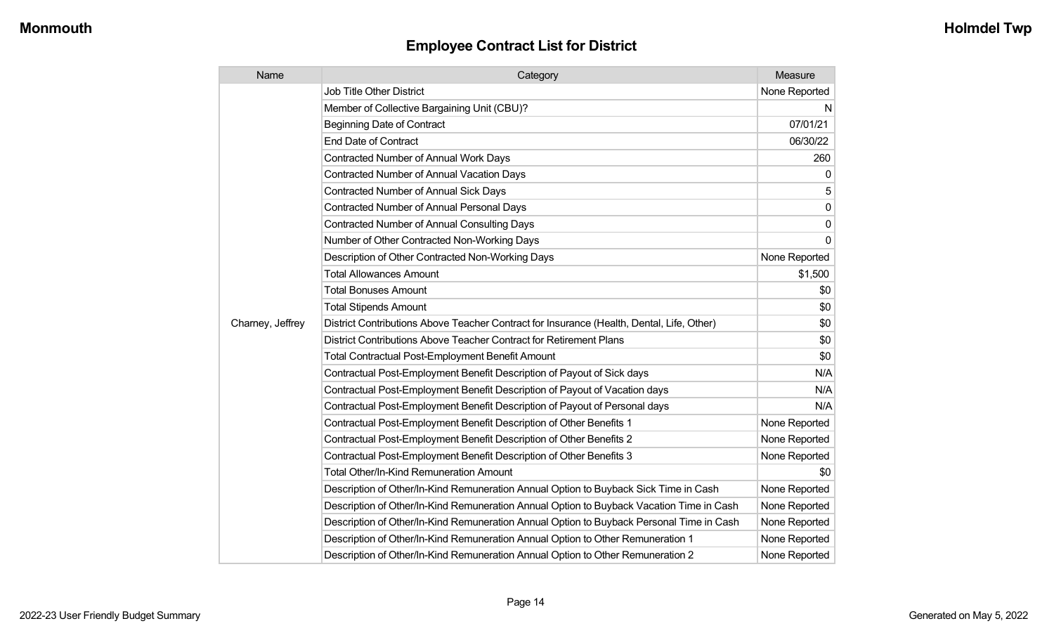| Name             | Category                                                                                  | Measure       |
|------------------|-------------------------------------------------------------------------------------------|---------------|
|                  | <b>Job Title Other District</b>                                                           | None Reported |
|                  | Member of Collective Bargaining Unit (CBU)?                                               | N             |
|                  | Beginning Date of Contract                                                                | 07/01/21      |
|                  | <b>End Date of Contract</b>                                                               | 06/30/22      |
|                  | <b>Contracted Number of Annual Work Days</b>                                              | 260           |
|                  | <b>Contracted Number of Annual Vacation Days</b>                                          | 0             |
|                  | <b>Contracted Number of Annual Sick Days</b>                                              | 5             |
|                  | Contracted Number of Annual Personal Days                                                 | 0             |
|                  | <b>Contracted Number of Annual Consulting Days</b>                                        | 0             |
|                  | Number of Other Contracted Non-Working Days                                               | 0             |
|                  | Description of Other Contracted Non-Working Days                                          | None Reported |
|                  | <b>Total Allowances Amount</b>                                                            | \$1,500       |
|                  | <b>Total Bonuses Amount</b>                                                               | \$0           |
|                  | <b>Total Stipends Amount</b>                                                              | \$0           |
| Charney, Jeffrey | District Contributions Above Teacher Contract for Insurance (Health, Dental, Life, Other) | \$0           |
|                  | District Contributions Above Teacher Contract for Retirement Plans                        | \$0           |
|                  | <b>Total Contractual Post-Employment Benefit Amount</b>                                   | \$0           |
|                  | Contractual Post-Employment Benefit Description of Payout of Sick days                    | N/A           |
|                  | Contractual Post-Employment Benefit Description of Payout of Vacation days                | N/A           |
|                  | Contractual Post-Employment Benefit Description of Payout of Personal days                | N/A           |
|                  | Contractual Post-Employment Benefit Description of Other Benefits 1                       | None Reported |
|                  | Contractual Post-Employment Benefit Description of Other Benefits 2                       | None Reported |
|                  | Contractual Post-Employment Benefit Description of Other Benefits 3                       | None Reported |
|                  | <b>Total Other/In-Kind Remuneration Amount</b>                                            | \$0           |
|                  | Description of Other/In-Kind Remuneration Annual Option to Buyback Sick Time in Cash      | None Reported |
|                  | Description of Other/In-Kind Remuneration Annual Option to Buyback Vacation Time in Cash  | None Reported |
|                  | Description of Other/In-Kind Remuneration Annual Option to Buyback Personal Time in Cash  | None Reported |
|                  | Description of Other/In-Kind Remuneration Annual Option to Other Remuneration 1           | None Reported |
|                  | Description of Other/In-Kind Remuneration Annual Option to Other Remuneration 2           | None Reported |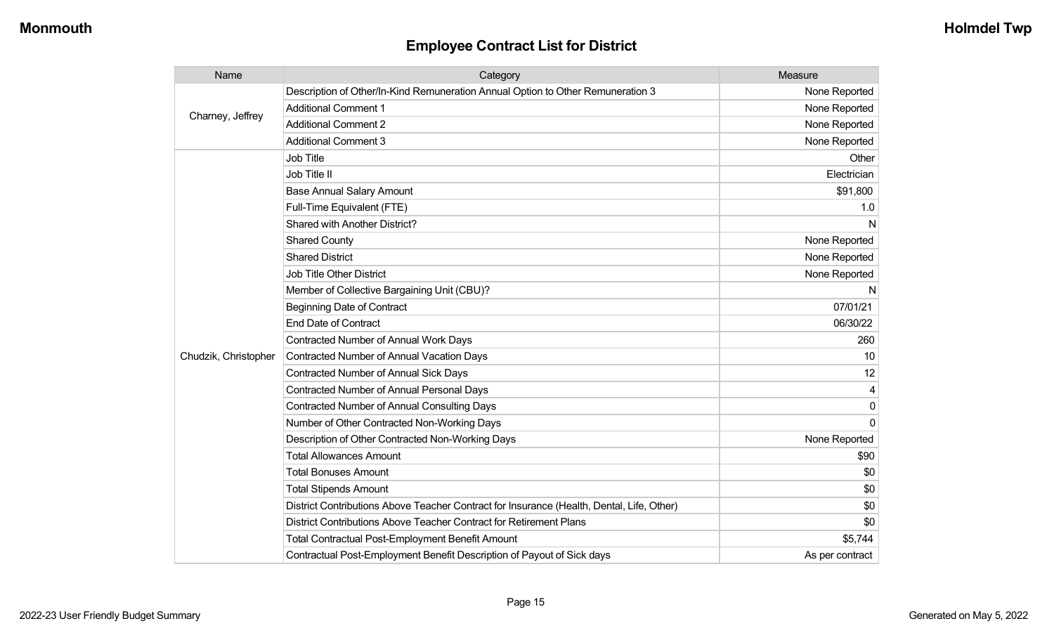| Name                 | Category                                                                                  | Measure         |
|----------------------|-------------------------------------------------------------------------------------------|-----------------|
|                      | Description of Other/In-Kind Remuneration Annual Option to Other Remuneration 3           | None Reported   |
| Charney, Jeffrey     | <b>Additional Comment 1</b>                                                               | None Reported   |
|                      | <b>Additional Comment 2</b>                                                               | None Reported   |
|                      | <b>Additional Comment 3</b>                                                               | None Reported   |
|                      | <b>Job Title</b>                                                                          | Other           |
|                      | Job Title II                                                                              | Electrician     |
|                      | <b>Base Annual Salary Amount</b>                                                          | \$91,800        |
|                      | Full-Time Equivalent (FTE)                                                                | 1.0             |
|                      | Shared with Another District?                                                             | N               |
|                      | <b>Shared County</b>                                                                      | None Reported   |
|                      | <b>Shared District</b>                                                                    | None Reported   |
|                      | <b>Job Title Other District</b>                                                           | None Reported   |
|                      | Member of Collective Bargaining Unit (CBU)?                                               | N               |
|                      | <b>Beginning Date of Contract</b>                                                         | 07/01/21        |
|                      | <b>End Date of Contract</b>                                                               | 06/30/22        |
|                      | <b>Contracted Number of Annual Work Days</b>                                              | 260             |
| Chudzik, Christopher | Contracted Number of Annual Vacation Days                                                 | 10              |
|                      | <b>Contracted Number of Annual Sick Days</b>                                              | 12              |
|                      | Contracted Number of Annual Personal Days                                                 | 4               |
|                      | <b>Contracted Number of Annual Consulting Days</b>                                        | $\mathbf{0}$    |
|                      | Number of Other Contracted Non-Working Days                                               | $\Omega$        |
|                      | Description of Other Contracted Non-Working Days                                          | None Reported   |
|                      | <b>Total Allowances Amount</b>                                                            | \$90            |
|                      | <b>Total Bonuses Amount</b>                                                               | \$0             |
|                      | <b>Total Stipends Amount</b>                                                              | \$0             |
|                      | District Contributions Above Teacher Contract for Insurance (Health, Dental, Life, Other) | \$0             |
|                      | District Contributions Above Teacher Contract for Retirement Plans                        | \$0             |
|                      | <b>Total Contractual Post-Employment Benefit Amount</b>                                   | \$5,744         |
|                      | Contractual Post-Employment Benefit Description of Payout of Sick days                    | As per contract |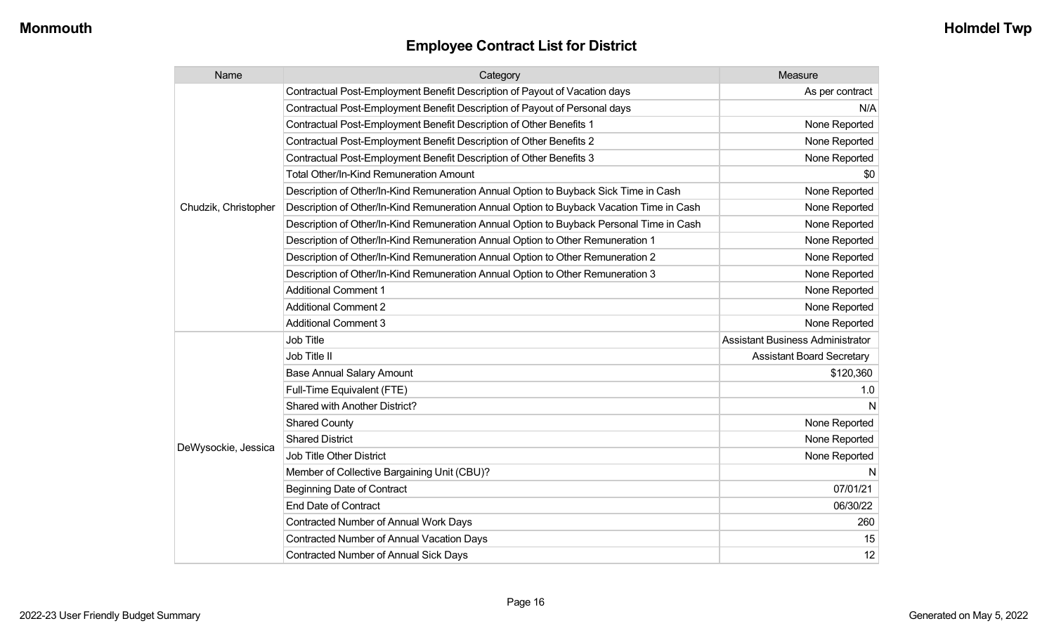| Name                 | Category                                                                                 | Measure                                 |
|----------------------|------------------------------------------------------------------------------------------|-----------------------------------------|
|                      | Contractual Post-Employment Benefit Description of Payout of Vacation days               | As per contract                         |
|                      | Contractual Post-Employment Benefit Description of Payout of Personal days               | N/A                                     |
|                      | Contractual Post-Employment Benefit Description of Other Benefits 1                      | None Reported                           |
|                      | Contractual Post-Employment Benefit Description of Other Benefits 2                      | None Reported                           |
|                      | Contractual Post-Employment Benefit Description of Other Benefits 3                      | None Reported                           |
|                      | <b>Total Other/In-Kind Remuneration Amount</b>                                           | \$0                                     |
|                      | Description of Other/In-Kind Remuneration Annual Option to Buyback Sick Time in Cash     | None Reported                           |
| Chudzik, Christopher | Description of Other/In-Kind Remuneration Annual Option to Buyback Vacation Time in Cash | None Reported                           |
|                      | Description of Other/In-Kind Remuneration Annual Option to Buyback Personal Time in Cash | None Reported                           |
|                      | Description of Other/In-Kind Remuneration Annual Option to Other Remuneration 1          | None Reported                           |
|                      | Description of Other/In-Kind Remuneration Annual Option to Other Remuneration 2          | None Reported                           |
|                      | Description of Other/In-Kind Remuneration Annual Option to Other Remuneration 3          | None Reported                           |
|                      | <b>Additional Comment 1</b>                                                              | None Reported                           |
|                      | <b>Additional Comment 2</b>                                                              | None Reported                           |
|                      | <b>Additional Comment 3</b>                                                              | None Reported                           |
|                      | <b>Job Title</b>                                                                         | <b>Assistant Business Administrator</b> |
|                      | Job Title II                                                                             | <b>Assistant Board Secretary</b>        |
|                      | <b>Base Annual Salary Amount</b>                                                         | \$120,360                               |
|                      | Full-Time Equivalent (FTE)                                                               | 1.0                                     |
|                      | Shared with Another District?                                                            | N                                       |
|                      | <b>Shared County</b>                                                                     | None Reported                           |
|                      | <b>Shared District</b>                                                                   | None Reported                           |
| DeWysockie, Jessica  | <b>Job Title Other District</b>                                                          | None Reported                           |
|                      | Member of Collective Bargaining Unit (CBU)?                                              | N                                       |
|                      | <b>Beginning Date of Contract</b>                                                        | 07/01/21                                |
|                      | <b>End Date of Contract</b>                                                              | 06/30/22                                |
|                      | <b>Contracted Number of Annual Work Days</b>                                             | 260                                     |
|                      | Contracted Number of Annual Vacation Days                                                | 15                                      |
|                      | <b>Contracted Number of Annual Sick Days</b>                                             | 12                                      |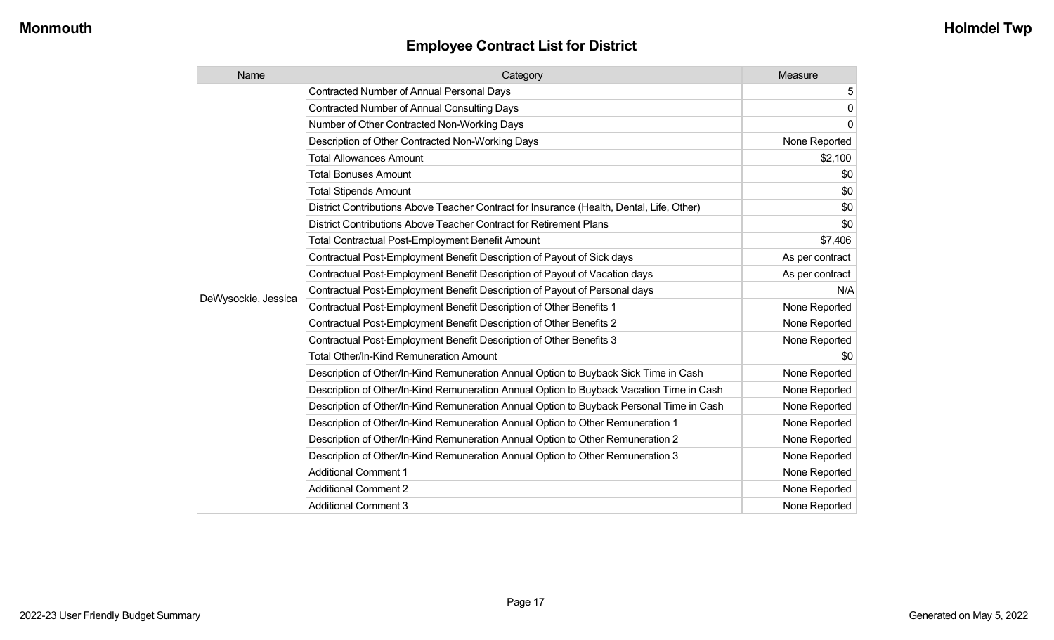| Name                | Category                                                                                  | Measure         |
|---------------------|-------------------------------------------------------------------------------------------|-----------------|
|                     | <b>Contracted Number of Annual Personal Days</b>                                          | 5               |
|                     | <b>Contracted Number of Annual Consulting Days</b>                                        | $\mathbf 0$     |
|                     | Number of Other Contracted Non-Working Days                                               | 0               |
|                     | Description of Other Contracted Non-Working Days                                          | None Reported   |
|                     | <b>Total Allowances Amount</b>                                                            | \$2,100         |
|                     | <b>Total Bonuses Amount</b>                                                               | \$0             |
|                     | <b>Total Stipends Amount</b>                                                              | \$0             |
|                     | District Contributions Above Teacher Contract for Insurance (Health, Dental, Life, Other) | \$0             |
|                     | District Contributions Above Teacher Contract for Retirement Plans                        | \$0             |
|                     | <b>Total Contractual Post-Employment Benefit Amount</b>                                   | \$7,406         |
|                     | Contractual Post-Employment Benefit Description of Payout of Sick days                    | As per contract |
|                     | Contractual Post-Employment Benefit Description of Payout of Vacation days                | As per contract |
|                     | Contractual Post-Employment Benefit Description of Payout of Personal days                | N/A             |
| DeWysockie, Jessica | Contractual Post-Employment Benefit Description of Other Benefits 1                       | None Reported   |
|                     | Contractual Post-Employment Benefit Description of Other Benefits 2                       | None Reported   |
|                     | Contractual Post-Employment Benefit Description of Other Benefits 3                       | None Reported   |
|                     | <b>Total Other/In-Kind Remuneration Amount</b>                                            | \$0             |
|                     | Description of Other/In-Kind Remuneration Annual Option to Buyback Sick Time in Cash      | None Reported   |
|                     | Description of Other/In-Kind Remuneration Annual Option to Buyback Vacation Time in Cash  | None Reported   |
|                     | Description of Other/In-Kind Remuneration Annual Option to Buyback Personal Time in Cash  | None Reported   |
|                     | Description of Other/In-Kind Remuneration Annual Option to Other Remuneration 1           | None Reported   |
|                     | Description of Other/In-Kind Remuneration Annual Option to Other Remuneration 2           | None Reported   |
|                     | Description of Other/In-Kind Remuneration Annual Option to Other Remuneration 3           | None Reported   |
|                     | <b>Additional Comment 1</b>                                                               | None Reported   |
|                     | <b>Additional Comment 2</b>                                                               | None Reported   |
|                     | <b>Additional Comment 3</b>                                                               | None Reported   |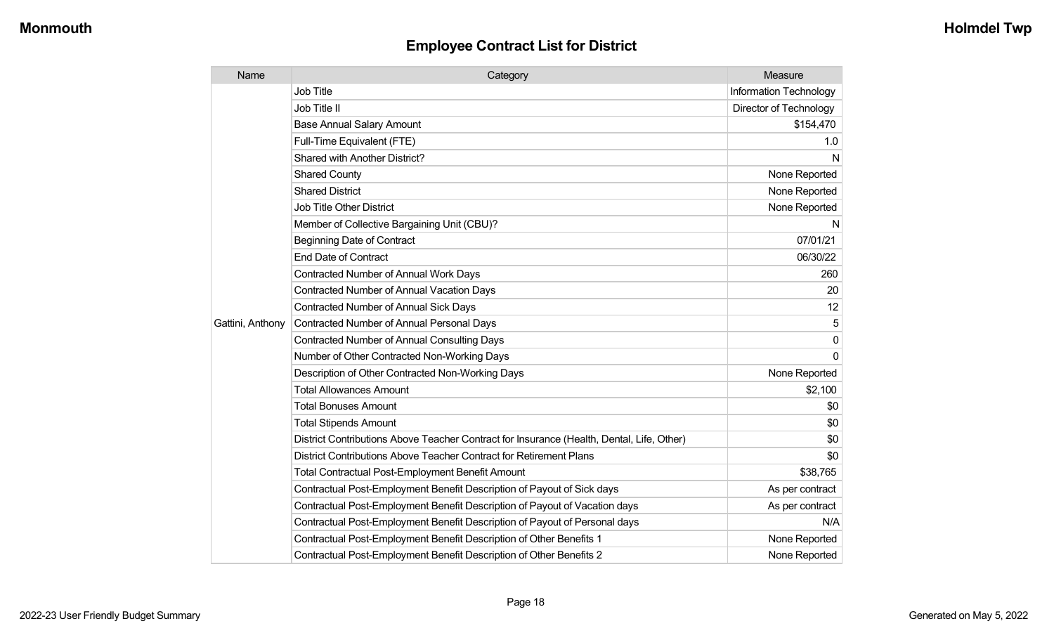| Name             | Category                                                                                  | Measure                       |
|------------------|-------------------------------------------------------------------------------------------|-------------------------------|
|                  | <b>Job Title</b>                                                                          | Information Technology        |
|                  | Job Title II                                                                              | <b>Director of Technology</b> |
|                  | <b>Base Annual Salary Amount</b>                                                          | \$154,470                     |
|                  | Full-Time Equivalent (FTE)                                                                | 1.0                           |
|                  | <b>Shared with Another District?</b>                                                      | N                             |
|                  | <b>Shared County</b>                                                                      | None Reported                 |
|                  | <b>Shared District</b>                                                                    | None Reported                 |
|                  | <b>Job Title Other District</b>                                                           | None Reported                 |
|                  | Member of Collective Bargaining Unit (CBU)?                                               | N                             |
|                  | <b>Beginning Date of Contract</b>                                                         | 07/01/21                      |
|                  | <b>End Date of Contract</b>                                                               | 06/30/22                      |
|                  | <b>Contracted Number of Annual Work Days</b>                                              | 260                           |
|                  | <b>Contracted Number of Annual Vacation Days</b>                                          | 20                            |
|                  | <b>Contracted Number of Annual Sick Days</b>                                              | 12                            |
| Gattini, Anthony | <b>Contracted Number of Annual Personal Days</b>                                          | 5                             |
|                  | <b>Contracted Number of Annual Consulting Days</b>                                        | 0                             |
|                  | Number of Other Contracted Non-Working Days                                               | $\Omega$                      |
|                  | Description of Other Contracted Non-Working Days                                          | None Reported                 |
|                  | <b>Total Allowances Amount</b>                                                            | \$2,100                       |
|                  | <b>Total Bonuses Amount</b>                                                               | \$0                           |
|                  | <b>Total Stipends Amount</b>                                                              | \$0                           |
|                  | District Contributions Above Teacher Contract for Insurance (Health, Dental, Life, Other) | \$0                           |
|                  | District Contributions Above Teacher Contract for Retirement Plans                        | \$0                           |
|                  | <b>Total Contractual Post-Employment Benefit Amount</b>                                   | \$38,765                      |
|                  | Contractual Post-Employment Benefit Description of Payout of Sick days                    | As per contract               |
|                  | Contractual Post-Employment Benefit Description of Payout of Vacation days                | As per contract               |
|                  | Contractual Post-Employment Benefit Description of Payout of Personal days                | N/A                           |
|                  | Contractual Post-Employment Benefit Description of Other Benefits 1                       | None Reported                 |
|                  | Contractual Post-Employment Benefit Description of Other Benefits 2                       | None Reported                 |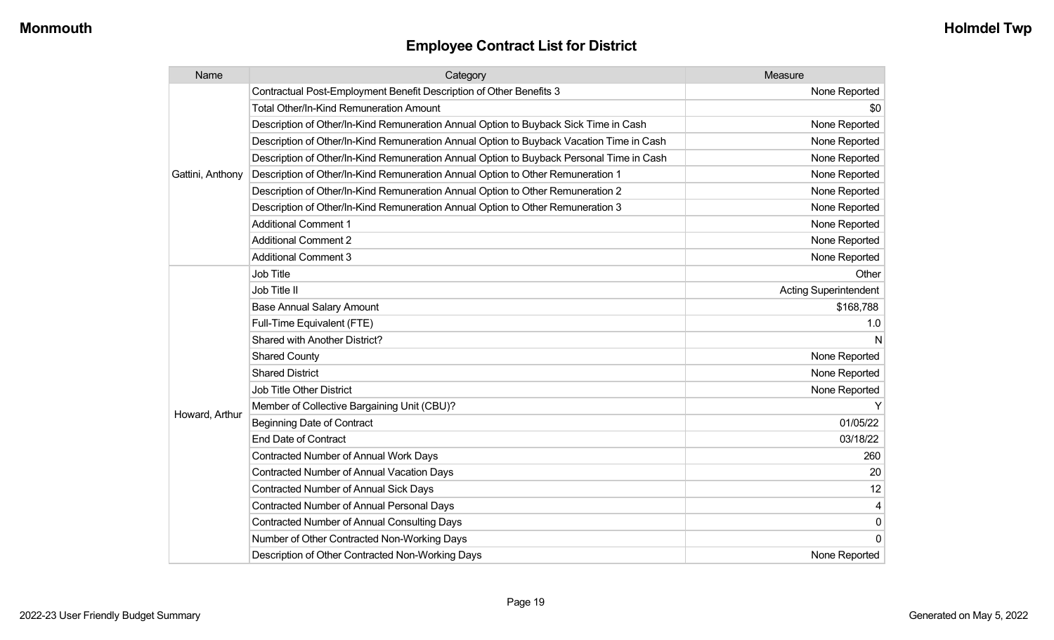| Name             | Category                                                                                 | Measure                      |
|------------------|------------------------------------------------------------------------------------------|------------------------------|
|                  | Contractual Post-Employment Benefit Description of Other Benefits 3                      | None Reported                |
|                  | Total Other/In-Kind Remuneration Amount                                                  | \$0                          |
|                  | Description of Other/In-Kind Remuneration Annual Option to Buyback Sick Time in Cash     | None Reported                |
|                  | Description of Other/In-Kind Remuneration Annual Option to Buyback Vacation Time in Cash | None Reported                |
|                  | Description of Other/In-Kind Remuneration Annual Option to Buyback Personal Time in Cash | None Reported                |
| Gattini, Anthony | Description of Other/In-Kind Remuneration Annual Option to Other Remuneration 1          | None Reported                |
|                  | Description of Other/In-Kind Remuneration Annual Option to Other Remuneration 2          | None Reported                |
|                  | Description of Other/In-Kind Remuneration Annual Option to Other Remuneration 3          | None Reported                |
|                  | <b>Additional Comment 1</b>                                                              | None Reported                |
|                  | <b>Additional Comment 2</b>                                                              | None Reported                |
|                  | <b>Additional Comment 3</b>                                                              | None Reported                |
|                  | <b>Job Title</b>                                                                         | Other                        |
|                  | Job Title II                                                                             | <b>Acting Superintendent</b> |
|                  | <b>Base Annual Salary Amount</b>                                                         | \$168,788                    |
|                  | Full-Time Equivalent (FTE)                                                               | 1.0                          |
|                  | <b>Shared with Another District?</b>                                                     |                              |
|                  | <b>Shared County</b>                                                                     | None Reported                |
|                  | <b>Shared District</b>                                                                   | None Reported                |
|                  | <b>Job Title Other District</b>                                                          | None Reported                |
|                  | Member of Collective Bargaining Unit (CBU)?                                              |                              |
| Howard, Arthur   | <b>Beginning Date of Contract</b>                                                        | 01/05/22                     |
|                  | <b>End Date of Contract</b>                                                              | 03/18/22                     |
|                  | Contracted Number of Annual Work Days                                                    | 260                          |
|                  | <b>Contracted Number of Annual Vacation Days</b>                                         | 20                           |
|                  | <b>Contracted Number of Annual Sick Days</b>                                             | 12                           |
|                  | Contracted Number of Annual Personal Days                                                | 4                            |
|                  | <b>Contracted Number of Annual Consulting Days</b>                                       | $\mathbf 0$                  |
|                  | Number of Other Contracted Non-Working Days                                              | $\Omega$                     |
|                  | Description of Other Contracted Non-Working Days                                         | None Reported                |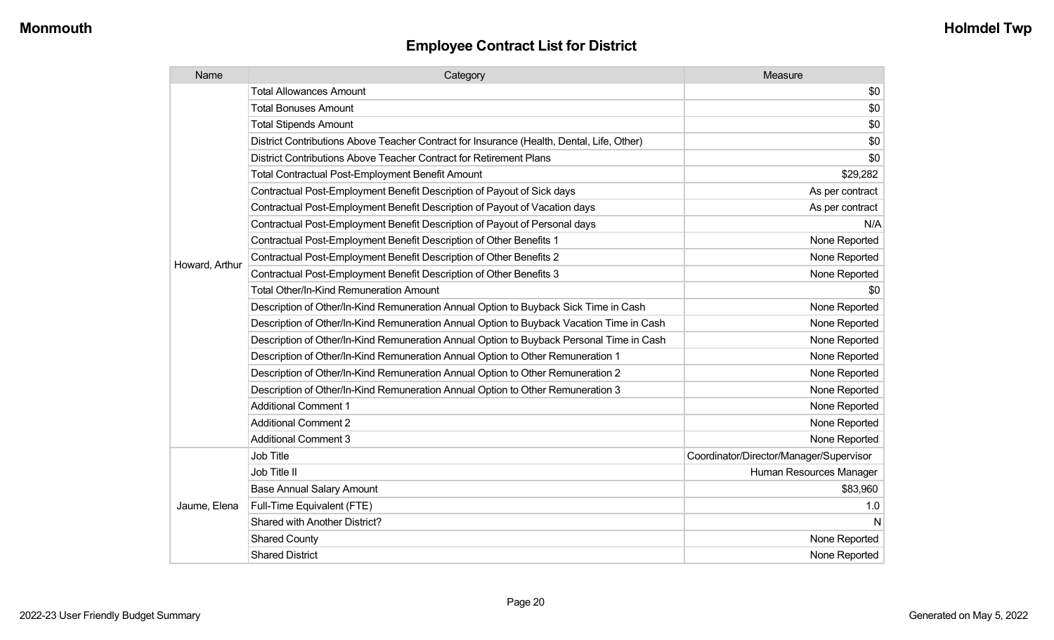| Name           | Category                                                                                  | Measure                                 |
|----------------|-------------------------------------------------------------------------------------------|-----------------------------------------|
|                | <b>Total Allowances Amount</b>                                                            | \$0                                     |
|                | <b>Total Bonuses Amount</b>                                                               | \$0                                     |
|                | <b>Total Stipends Amount</b>                                                              | \$0                                     |
|                | District Contributions Above Teacher Contract for Insurance (Health, Dental, Life, Other) | \$0                                     |
|                | District Contributions Above Teacher Contract for Retirement Plans                        | \$0                                     |
|                | <b>Total Contractual Post-Employment Benefit Amount</b>                                   | \$29,282                                |
|                | Contractual Post-Employment Benefit Description of Payout of Sick days                    | As per contract                         |
|                | Contractual Post-Employment Benefit Description of Payout of Vacation days                | As per contract                         |
|                | Contractual Post-Employment Benefit Description of Payout of Personal days                | N/A                                     |
|                | Contractual Post-Employment Benefit Description of Other Benefits 1                       | None Reported                           |
|                | Contractual Post-Employment Benefit Description of Other Benefits 2                       | None Reported                           |
| Howard, Arthur | Contractual Post-Employment Benefit Description of Other Benefits 3                       | None Reported                           |
|                | <b>Total Other/In-Kind Remuneration Amount</b>                                            | \$0                                     |
|                | Description of Other/In-Kind Remuneration Annual Option to Buyback Sick Time in Cash      | None Reported                           |
|                | Description of Other/In-Kind Remuneration Annual Option to Buyback Vacation Time in Cash  | None Reported                           |
|                | Description of Other/In-Kind Remuneration Annual Option to Buyback Personal Time in Cash  | None Reported                           |
|                | Description of Other/In-Kind Remuneration Annual Option to Other Remuneration 1           | None Reported                           |
|                | Description of Other/In-Kind Remuneration Annual Option to Other Remuneration 2           | None Reported                           |
|                | Description of Other/In-Kind Remuneration Annual Option to Other Remuneration 3           | None Reported                           |
|                | <b>Additional Comment 1</b>                                                               | None Reported                           |
|                | <b>Additional Comment 2</b>                                                               | None Reported                           |
|                | <b>Additional Comment 3</b>                                                               | None Reported                           |
|                | <b>Job Title</b>                                                                          | Coordinator/Director/Manager/Supervisor |
| Jaume, Elena   | Job Title II                                                                              | Human Resources Manager                 |
|                | <b>Base Annual Salary Amount</b>                                                          | \$83,960                                |
|                | Full-Time Equivalent (FTE)                                                                | 1.0                                     |
|                | Shared with Another District?                                                             | N                                       |
|                | <b>Shared County</b>                                                                      | None Reported                           |
|                | <b>Shared District</b>                                                                    | None Reported                           |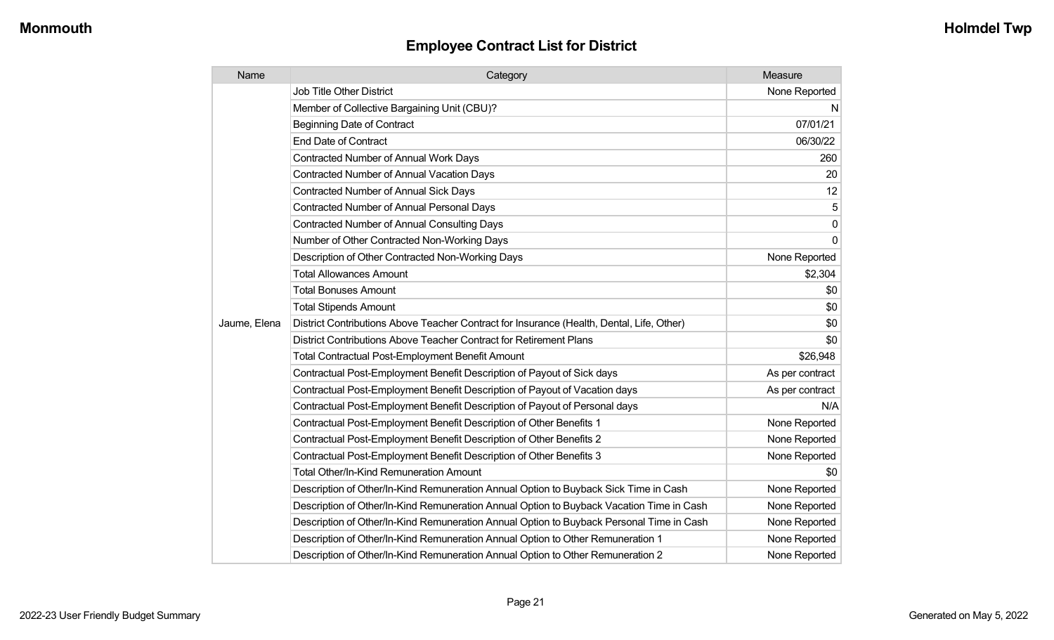| Name         | Category                                                                                  | Measure         |
|--------------|-------------------------------------------------------------------------------------------|-----------------|
|              | <b>Job Title Other District</b>                                                           | None Reported   |
|              | Member of Collective Bargaining Unit (CBU)?                                               | N               |
|              | <b>Beginning Date of Contract</b>                                                         | 07/01/21        |
|              | <b>End Date of Contract</b>                                                               | 06/30/22        |
|              | Contracted Number of Annual Work Days                                                     | 260             |
|              | <b>Contracted Number of Annual Vacation Days</b>                                          | 20              |
|              | <b>Contracted Number of Annual Sick Days</b>                                              | 12              |
|              | <b>Contracted Number of Annual Personal Days</b>                                          | 5               |
|              | Contracted Number of Annual Consulting Days                                               | 0               |
|              | Number of Other Contracted Non-Working Days                                               | 0               |
|              | Description of Other Contracted Non-Working Days                                          | None Reported   |
|              | <b>Total Allowances Amount</b>                                                            | \$2,304         |
|              | <b>Total Bonuses Amount</b>                                                               | \$0             |
|              | <b>Total Stipends Amount</b>                                                              | \$0             |
| Jaume, Elena | District Contributions Above Teacher Contract for Insurance (Health, Dental, Life, Other) | \$0             |
|              | District Contributions Above Teacher Contract for Retirement Plans                        | \$0             |
|              | <b>Total Contractual Post-Employment Benefit Amount</b>                                   | \$26,948        |
|              | Contractual Post-Employment Benefit Description of Payout of Sick days                    | As per contract |
|              | Contractual Post-Employment Benefit Description of Payout of Vacation days                | As per contract |
|              | Contractual Post-Employment Benefit Description of Payout of Personal days                | N/A             |
|              | Contractual Post-Employment Benefit Description of Other Benefits 1                       | None Reported   |
|              | Contractual Post-Employment Benefit Description of Other Benefits 2                       | None Reported   |
|              | Contractual Post-Employment Benefit Description of Other Benefits 3                       | None Reported   |
|              | <b>Total Other/In-Kind Remuneration Amount</b>                                            | \$0             |
|              | Description of Other/In-Kind Remuneration Annual Option to Buyback Sick Time in Cash      | None Reported   |
|              | Description of Other/In-Kind Remuneration Annual Option to Buyback Vacation Time in Cash  | None Reported   |
|              | Description of Other/In-Kind Remuneration Annual Option to Buyback Personal Time in Cash  | None Reported   |
|              | Description of Other/In-Kind Remuneration Annual Option to Other Remuneration 1           | None Reported   |
|              | Description of Other/In-Kind Remuneration Annual Option to Other Remuneration 2           | None Reported   |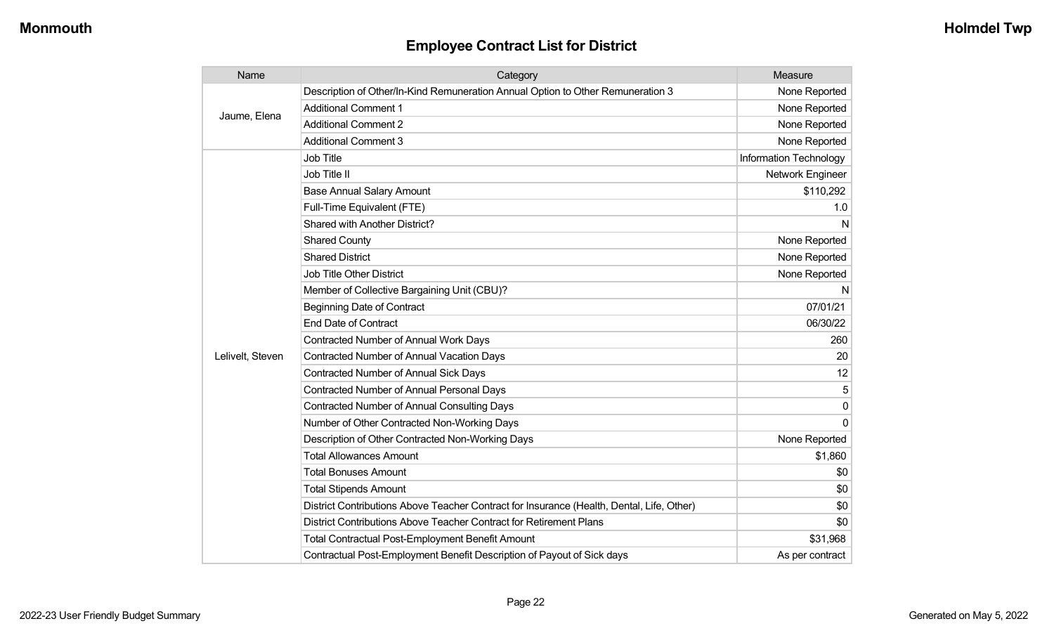| Name             | Category                                                                                  | Measure                |
|------------------|-------------------------------------------------------------------------------------------|------------------------|
| Jaume, Elena     | Description of Other/In-Kind Remuneration Annual Option to Other Remuneration 3           | None Reported          |
|                  | <b>Additional Comment 1</b>                                                               | None Reported          |
|                  | <b>Additional Comment 2</b>                                                               | None Reported          |
|                  | <b>Additional Comment 3</b>                                                               | None Reported          |
|                  | <b>Job Title</b>                                                                          | Information Technology |
|                  | Job Title II                                                                              | Network Engineer       |
|                  | <b>Base Annual Salary Amount</b>                                                          | \$110,292              |
|                  | Full-Time Equivalent (FTE)                                                                | 1.0                    |
|                  | <b>Shared with Another District?</b>                                                      | N                      |
|                  | <b>Shared County</b>                                                                      | None Reported          |
|                  | <b>Shared District</b>                                                                    | None Reported          |
|                  | <b>Job Title Other District</b>                                                           | None Reported          |
|                  | Member of Collective Bargaining Unit (CBU)?                                               | N                      |
|                  | <b>Beginning Date of Contract</b>                                                         | 07/01/21               |
|                  | <b>End Date of Contract</b>                                                               | 06/30/22               |
|                  | Contracted Number of Annual Work Days                                                     | 260                    |
| Lelivelt, Steven | <b>Contracted Number of Annual Vacation Days</b>                                          | 20                     |
|                  | <b>Contracted Number of Annual Sick Days</b>                                              | 12                     |
|                  | <b>Contracted Number of Annual Personal Days</b>                                          | 5                      |
|                  | <b>Contracted Number of Annual Consulting Days</b>                                        | 0                      |
|                  | Number of Other Contracted Non-Working Days                                               | $\Omega$               |
|                  | Description of Other Contracted Non-Working Days                                          | None Reported          |
|                  | <b>Total Allowances Amount</b>                                                            | \$1,860                |
|                  | <b>Total Bonuses Amount</b>                                                               | \$0                    |
|                  | <b>Total Stipends Amount</b>                                                              | \$0                    |
|                  | District Contributions Above Teacher Contract for Insurance (Health, Dental, Life, Other) | \$0                    |
|                  | District Contributions Above Teacher Contract for Retirement Plans                        | \$0                    |
|                  | <b>Total Contractual Post-Employment Benefit Amount</b>                                   | \$31,968               |
|                  | Contractual Post-Employment Benefit Description of Payout of Sick days                    | As per contract        |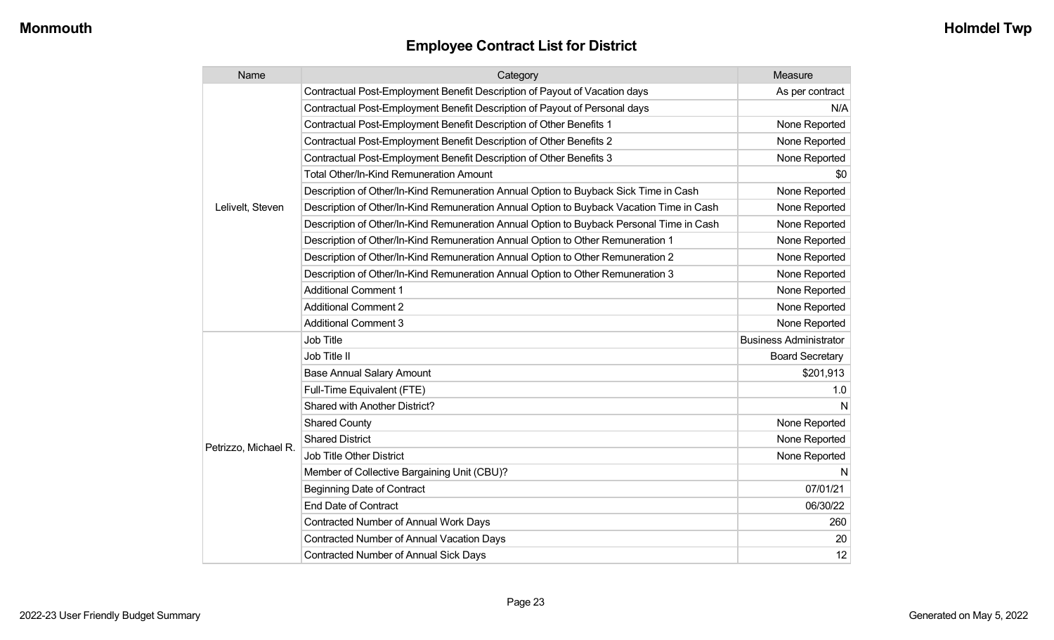| Name                 | Category                                                                                 | Measure                       |
|----------------------|------------------------------------------------------------------------------------------|-------------------------------|
|                      | Contractual Post-Employment Benefit Description of Payout of Vacation days               | As per contract               |
|                      | Contractual Post-Employment Benefit Description of Payout of Personal days               | N/A                           |
|                      | Contractual Post-Employment Benefit Description of Other Benefits 1                      | None Reported                 |
|                      | Contractual Post-Employment Benefit Description of Other Benefits 2                      | None Reported                 |
|                      | Contractual Post-Employment Benefit Description of Other Benefits 3                      | None Reported                 |
|                      | <b>Total Other/In-Kind Remuneration Amount</b>                                           | \$0                           |
|                      | Description of Other/In-Kind Remuneration Annual Option to Buyback Sick Time in Cash     | None Reported                 |
| Lelivelt, Steven     | Description of Other/In-Kind Remuneration Annual Option to Buyback Vacation Time in Cash | None Reported                 |
|                      | Description of Other/In-Kind Remuneration Annual Option to Buyback Personal Time in Cash | None Reported                 |
|                      | Description of Other/In-Kind Remuneration Annual Option to Other Remuneration 1          | None Reported                 |
|                      | Description of Other/In-Kind Remuneration Annual Option to Other Remuneration 2          | None Reported                 |
|                      | Description of Other/In-Kind Remuneration Annual Option to Other Remuneration 3          | None Reported                 |
|                      | <b>Additional Comment 1</b>                                                              | None Reported                 |
|                      | <b>Additional Comment 2</b>                                                              | None Reported                 |
|                      | <b>Additional Comment 3</b>                                                              | None Reported                 |
|                      | Job Title                                                                                | <b>Business Administrator</b> |
|                      | Job Title II                                                                             | <b>Board Secretary</b>        |
|                      | <b>Base Annual Salary Amount</b>                                                         | \$201,913                     |
|                      | Full-Time Equivalent (FTE)                                                               | 1.0                           |
|                      | Shared with Another District?                                                            | N                             |
|                      | <b>Shared County</b>                                                                     | None Reported                 |
| Petrizzo, Michael R. | <b>Shared District</b>                                                                   | None Reported                 |
|                      | <b>Job Title Other District</b>                                                          | None Reported                 |
|                      | Member of Collective Bargaining Unit (CBU)?                                              | N.                            |
|                      | Beginning Date of Contract                                                               | 07/01/21                      |
|                      | <b>End Date of Contract</b>                                                              | 06/30/22                      |
|                      | <b>Contracted Number of Annual Work Days</b>                                             | 260                           |
|                      | <b>Contracted Number of Annual Vacation Days</b>                                         | 20                            |
|                      | Contracted Number of Annual Sick Days                                                    | 12                            |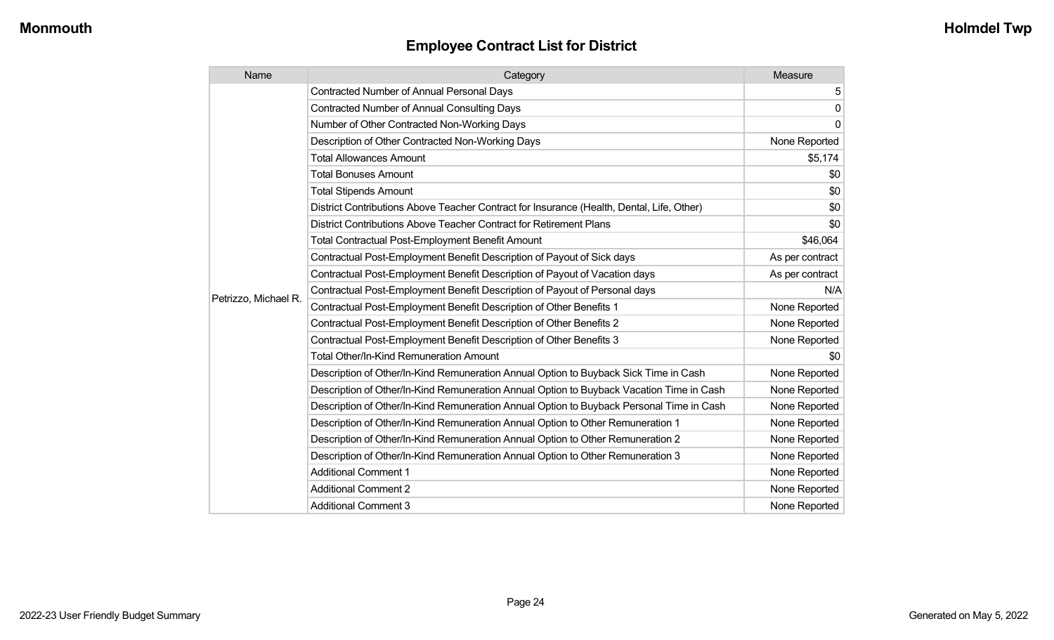| Name                 | Category                                                                                  | Measure         |
|----------------------|-------------------------------------------------------------------------------------------|-----------------|
|                      | <b>Contracted Number of Annual Personal Days</b>                                          | 5               |
|                      | <b>Contracted Number of Annual Consulting Days</b>                                        | $\mathbf 0$     |
|                      | Number of Other Contracted Non-Working Days                                               | 0               |
|                      | Description of Other Contracted Non-Working Days                                          | None Reported   |
|                      | <b>Total Allowances Amount</b>                                                            | \$5,174         |
|                      | <b>Total Bonuses Amount</b>                                                               | \$0             |
|                      | <b>Total Stipends Amount</b>                                                              | \$0             |
|                      | District Contributions Above Teacher Contract for Insurance (Health, Dental, Life, Other) | \$0             |
|                      | District Contributions Above Teacher Contract for Retirement Plans                        | \$0             |
|                      | <b>Total Contractual Post-Employment Benefit Amount</b>                                   | \$46,064        |
|                      | Contractual Post-Employment Benefit Description of Payout of Sick days                    | As per contract |
|                      | Contractual Post-Employment Benefit Description of Payout of Vacation days                | As per contract |
|                      | Contractual Post-Employment Benefit Description of Payout of Personal days                | N/A             |
| Petrizzo, Michael R. | Contractual Post-Employment Benefit Description of Other Benefits 1                       | None Reported   |
|                      | Contractual Post-Employment Benefit Description of Other Benefits 2                       | None Reported   |
|                      | Contractual Post-Employment Benefit Description of Other Benefits 3                       | None Reported   |
|                      | <b>Total Other/In-Kind Remuneration Amount</b>                                            | \$0             |
|                      | Description of Other/In-Kind Remuneration Annual Option to Buyback Sick Time in Cash      | None Reported   |
|                      | Description of Other/In-Kind Remuneration Annual Option to Buyback Vacation Time in Cash  | None Reported   |
|                      | Description of Other/In-Kind Remuneration Annual Option to Buyback Personal Time in Cash  | None Reported   |
|                      | Description of Other/In-Kind Remuneration Annual Option to Other Remuneration 1           | None Reported   |
|                      | Description of Other/In-Kind Remuneration Annual Option to Other Remuneration 2           | None Reported   |
|                      | Description of Other/In-Kind Remuneration Annual Option to Other Remuneration 3           | None Reported   |
|                      | <b>Additional Comment 1</b>                                                               | None Reported   |
|                      | <b>Additional Comment 2</b>                                                               | None Reported   |
|                      | <b>Additional Comment 3</b>                                                               | None Reported   |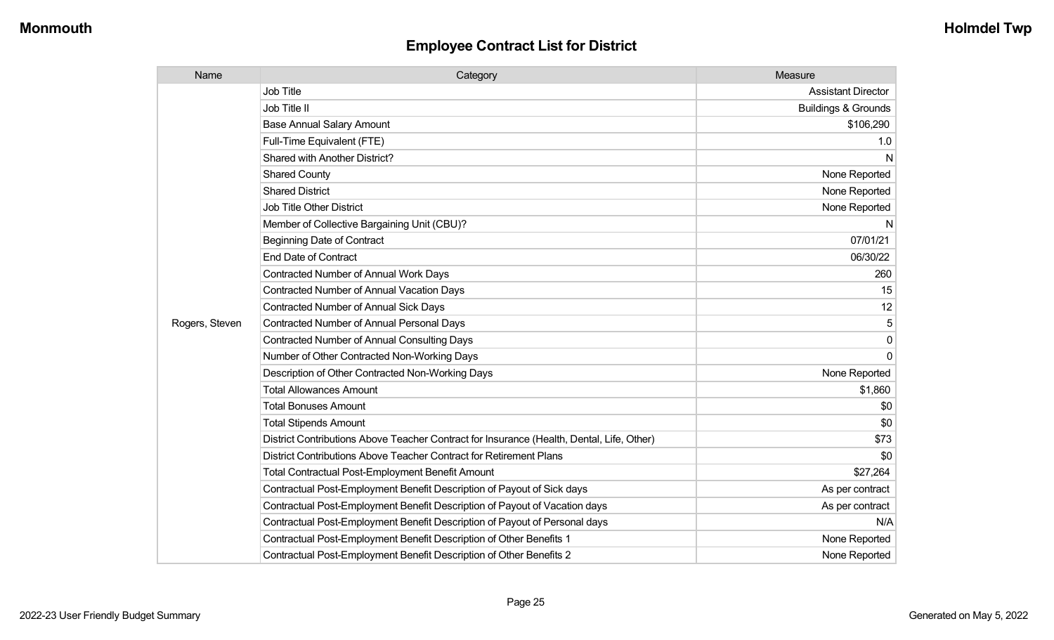| Name           | Category                                                                                  | Measure                        |
|----------------|-------------------------------------------------------------------------------------------|--------------------------------|
|                | Job Title                                                                                 | <b>Assistant Director</b>      |
|                | Job Title II                                                                              | <b>Buildings &amp; Grounds</b> |
|                | <b>Base Annual Salary Amount</b>                                                          | \$106,290                      |
|                | Full-Time Equivalent (FTE)                                                                | 1.0                            |
|                | Shared with Another District?                                                             | N                              |
|                | <b>Shared County</b>                                                                      | None Reported                  |
|                | <b>Shared District</b>                                                                    | None Reported                  |
|                | <b>Job Title Other District</b>                                                           | None Reported                  |
|                | Member of Collective Bargaining Unit (CBU)?                                               | $\mathsf{N}$                   |
|                | <b>Beginning Date of Contract</b>                                                         | 07/01/21                       |
|                | <b>End Date of Contract</b>                                                               | 06/30/22                       |
|                | <b>Contracted Number of Annual Work Days</b>                                              | 260                            |
|                | <b>Contracted Number of Annual Vacation Days</b>                                          | 15                             |
|                | <b>Contracted Number of Annual Sick Days</b>                                              | 12                             |
| Rogers, Steven | <b>Contracted Number of Annual Personal Days</b>                                          | $\mathbf 5$                    |
|                | <b>Contracted Number of Annual Consulting Days</b>                                        | 0                              |
|                | Number of Other Contracted Non-Working Days                                               | $\overline{0}$                 |
|                | Description of Other Contracted Non-Working Days                                          | None Reported                  |
|                | <b>Total Allowances Amount</b>                                                            | \$1,860                        |
|                | <b>Total Bonuses Amount</b>                                                               | \$0                            |
|                | <b>Total Stipends Amount</b>                                                              | \$0                            |
|                | District Contributions Above Teacher Contract for Insurance (Health, Dental, Life, Other) | \$73                           |
|                | District Contributions Above Teacher Contract for Retirement Plans                        | \$0                            |
|                | <b>Total Contractual Post-Employment Benefit Amount</b>                                   | \$27,264                       |
|                | Contractual Post-Employment Benefit Description of Payout of Sick days                    | As per contract                |
|                | Contractual Post-Employment Benefit Description of Payout of Vacation days                | As per contract                |
|                | Contractual Post-Employment Benefit Description of Payout of Personal days                | N/A                            |
|                | Contractual Post-Employment Benefit Description of Other Benefits 1                       | None Reported                  |
|                | Contractual Post-Employment Benefit Description of Other Benefits 2                       | None Reported                  |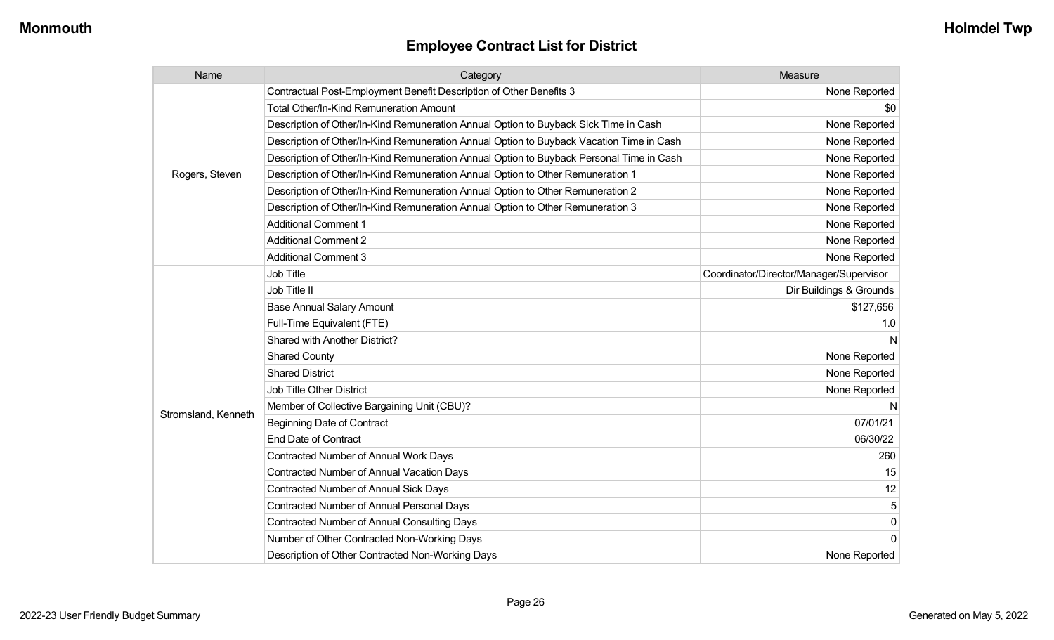| Name                | Category                                                                                 | Measure                                 |
|---------------------|------------------------------------------------------------------------------------------|-----------------------------------------|
|                     | Contractual Post-Employment Benefit Description of Other Benefits 3                      | None Reported                           |
|                     | <b>Total Other/In-Kind Remuneration Amount</b>                                           | \$0                                     |
|                     | Description of Other/In-Kind Remuneration Annual Option to Buyback Sick Time in Cash     | None Reported                           |
|                     | Description of Other/In-Kind Remuneration Annual Option to Buyback Vacation Time in Cash | None Reported                           |
|                     | Description of Other/In-Kind Remuneration Annual Option to Buyback Personal Time in Cash | None Reported                           |
| Rogers, Steven      | Description of Other/In-Kind Remuneration Annual Option to Other Remuneration 1          | None Reported                           |
|                     | Description of Other/In-Kind Remuneration Annual Option to Other Remuneration 2          | None Reported                           |
|                     | Description of Other/In-Kind Remuneration Annual Option to Other Remuneration 3          | None Reported                           |
|                     | <b>Additional Comment 1</b>                                                              | None Reported                           |
|                     | <b>Additional Comment 2</b>                                                              | None Reported                           |
|                     | <b>Additional Comment 3</b>                                                              | None Reported                           |
|                     | Job Title                                                                                | Coordinator/Director/Manager/Supervisor |
|                     | Job Title II                                                                             | Dir Buildings & Grounds                 |
|                     | <b>Base Annual Salary Amount</b>                                                         | \$127,656                               |
|                     | Full-Time Equivalent (FTE)                                                               | 1.0                                     |
|                     | <b>Shared with Another District?</b>                                                     | N                                       |
|                     | <b>Shared County</b>                                                                     | None Reported                           |
|                     | <b>Shared District</b>                                                                   | None Reported                           |
|                     | Job Title Other District                                                                 | None Reported                           |
|                     | Member of Collective Bargaining Unit (CBU)?                                              | N                                       |
| Stromsland, Kenneth | <b>Beginning Date of Contract</b>                                                        | 07/01/21                                |
|                     | <b>End Date of Contract</b>                                                              | 06/30/22                                |
|                     | <b>Contracted Number of Annual Work Days</b>                                             | 260                                     |
|                     | <b>Contracted Number of Annual Vacation Days</b>                                         | 15                                      |
|                     | <b>Contracted Number of Annual Sick Days</b>                                             | 12                                      |
|                     | <b>Contracted Number of Annual Personal Days</b>                                         | 5                                       |
|                     | <b>Contracted Number of Annual Consulting Days</b>                                       | $\pmb{0}$                               |
|                     | Number of Other Contracted Non-Working Days                                              | $\overline{0}$                          |
|                     | Description of Other Contracted Non-Working Days                                         | None Reported                           |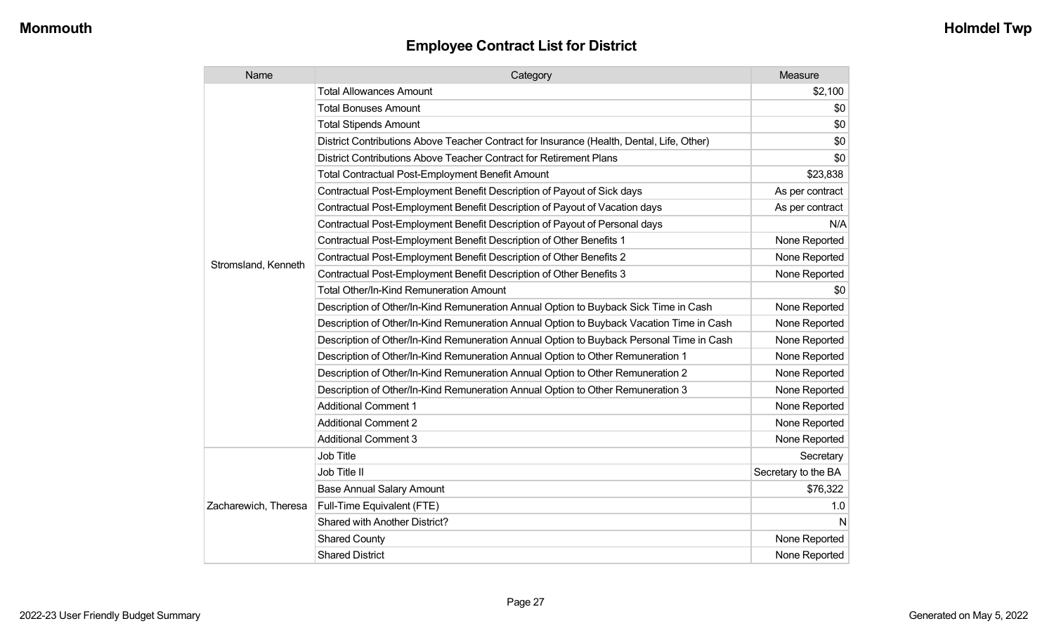| Name                 | Category                                                                                  | Measure             |
|----------------------|-------------------------------------------------------------------------------------------|---------------------|
|                      | <b>Total Allowances Amount</b>                                                            | \$2,100             |
|                      | <b>Total Bonuses Amount</b>                                                               | \$0                 |
|                      | <b>Total Stipends Amount</b>                                                              | \$0                 |
|                      | District Contributions Above Teacher Contract for Insurance (Health, Dental, Life, Other) | \$0                 |
|                      | District Contributions Above Teacher Contract for Retirement Plans                        | \$0                 |
|                      | Total Contractual Post-Employment Benefit Amount                                          | \$23,838            |
|                      | Contractual Post-Employment Benefit Description of Payout of Sick days                    | As per contract     |
|                      | Contractual Post-Employment Benefit Description of Payout of Vacation days                | As per contract     |
|                      | Contractual Post-Employment Benefit Description of Payout of Personal days                | N/A                 |
|                      | Contractual Post-Employment Benefit Description of Other Benefits 1                       | None Reported       |
|                      | Contractual Post-Employment Benefit Description of Other Benefits 2                       | None Reported       |
| Stromsland, Kenneth  | Contractual Post-Employment Benefit Description of Other Benefits 3                       | None Reported       |
|                      | Total Other/In-Kind Remuneration Amount                                                   | \$0                 |
|                      | Description of Other/In-Kind Remuneration Annual Option to Buyback Sick Time in Cash      | None Reported       |
|                      | Description of Other/In-Kind Remuneration Annual Option to Buyback Vacation Time in Cash  | None Reported       |
|                      | Description of Other/In-Kind Remuneration Annual Option to Buyback Personal Time in Cash  | None Reported       |
|                      | Description of Other/In-Kind Remuneration Annual Option to Other Remuneration 1           | None Reported       |
|                      | Description of Other/In-Kind Remuneration Annual Option to Other Remuneration 2           | None Reported       |
|                      | Description of Other/In-Kind Remuneration Annual Option to Other Remuneration 3           | None Reported       |
|                      | <b>Additional Comment 1</b>                                                               | None Reported       |
|                      | <b>Additional Comment 2</b>                                                               | None Reported       |
|                      | <b>Additional Comment 3</b>                                                               | None Reported       |
|                      | Job Title                                                                                 | Secretary           |
|                      | Job Title II                                                                              | Secretary to the BA |
|                      | <b>Base Annual Salary Amount</b>                                                          | \$76,322            |
| Zacharewich, Theresa | Full-Time Equivalent (FTE)                                                                | 1.0                 |
|                      | Shared with Another District?                                                             | N                   |
|                      | <b>Shared County</b>                                                                      | None Reported       |
|                      | <b>Shared District</b>                                                                    | None Reported       |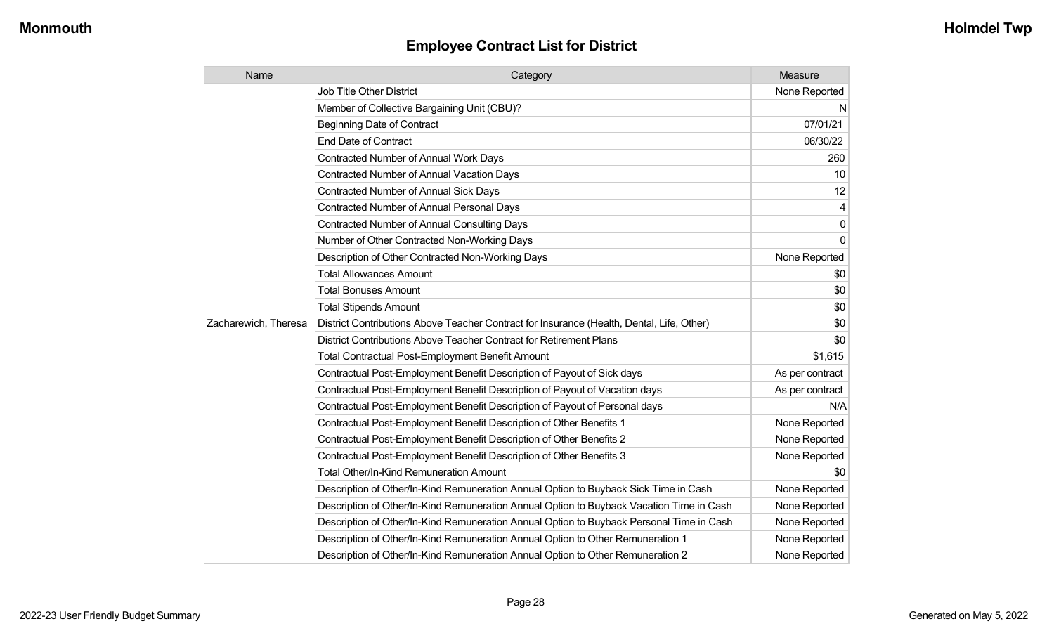| Name                 | Category                                                                                  | Measure         |
|----------------------|-------------------------------------------------------------------------------------------|-----------------|
|                      | <b>Job Title Other District</b>                                                           | None Reported   |
|                      | Member of Collective Bargaining Unit (CBU)?                                               | N               |
|                      | <b>Beginning Date of Contract</b>                                                         | 07/01/21        |
|                      | <b>End Date of Contract</b>                                                               | 06/30/22        |
|                      | Contracted Number of Annual Work Days                                                     | 260             |
|                      | Contracted Number of Annual Vacation Days                                                 | 10              |
|                      | Contracted Number of Annual Sick Days                                                     | 12              |
|                      | <b>Contracted Number of Annual Personal Days</b>                                          |                 |
|                      | <b>Contracted Number of Annual Consulting Days</b>                                        | $\mathbf 0$     |
|                      | Number of Other Contracted Non-Working Days                                               | $\Omega$        |
|                      | Description of Other Contracted Non-Working Days                                          | None Reported   |
|                      | <b>Total Allowances Amount</b>                                                            | \$0             |
|                      | <b>Total Bonuses Amount</b>                                                               | \$0             |
|                      | <b>Total Stipends Amount</b>                                                              | \$0             |
| Zacharewich, Theresa | District Contributions Above Teacher Contract for Insurance (Health, Dental, Life, Other) | \$0             |
|                      | District Contributions Above Teacher Contract for Retirement Plans                        | \$0             |
|                      | <b>Total Contractual Post-Employment Benefit Amount</b>                                   | \$1,615         |
|                      | Contractual Post-Employment Benefit Description of Payout of Sick days                    | As per contract |
|                      | Contractual Post-Employment Benefit Description of Payout of Vacation days                | As per contract |
|                      | Contractual Post-Employment Benefit Description of Payout of Personal days                | N/A             |
|                      | Contractual Post-Employment Benefit Description of Other Benefits 1                       | None Reported   |
|                      | Contractual Post-Employment Benefit Description of Other Benefits 2                       | None Reported   |
|                      | Contractual Post-Employment Benefit Description of Other Benefits 3                       | None Reported   |
|                      | Total Other/In-Kind Remuneration Amount                                                   | \$0             |
|                      | Description of Other/In-Kind Remuneration Annual Option to Buyback Sick Time in Cash      | None Reported   |
|                      | Description of Other/In-Kind Remuneration Annual Option to Buyback Vacation Time in Cash  | None Reported   |
|                      | Description of Other/In-Kind Remuneration Annual Option to Buyback Personal Time in Cash  | None Reported   |
|                      | Description of Other/In-Kind Remuneration Annual Option to Other Remuneration 1           | None Reported   |
|                      | Description of Other/In-Kind Remuneration Annual Option to Other Remuneration 2           | None Reported   |